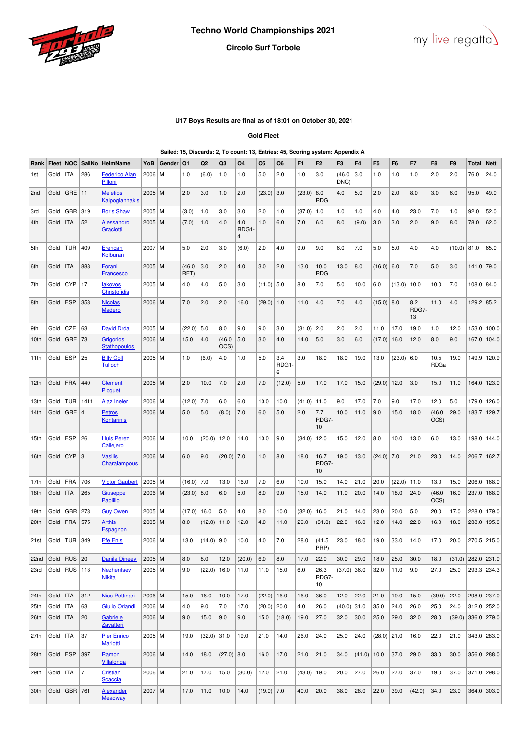



## **Circolo Surf Torbole**

## **U17 Boys Results are final as of 18:01 on October 30, 2021**

**Gold Fleet**

### **Sailed: 15, Discards: 2, To count: 13, Entries: 45, Scoring system: Appendix A**

| Rank            |            |                  | Fleet   NOC   SailNo | HelmName                                | YoB      | Gender | Q1             | Q2            | Q3            | Q4                            | Q <sub>5</sub> | Q6               | F <sub>1</sub>  | F <sub>2</sub>      | F <sub>3</sub> | F4           | F <sub>5</sub> | F6     | F7                 | F8             | F9     | Total                | <b>Nett</b> |
|-----------------|------------|------------------|----------------------|-----------------------------------------|----------|--------|----------------|---------------|---------------|-------------------------------|----------------|------------------|-----------------|---------------------|----------------|--------------|----------------|--------|--------------------|----------------|--------|----------------------|-------------|
| 1st             | Gold       | <b>ITA</b>       | 286                  | <b>Federico Alan</b><br>Pilloni         | 2006     | M      | 1.0            | (6.0)         | 1.0           | 1.0                           | 5.0            | 2.0              | 1.0             | 3.0                 | (46.0)<br>DNC) | 3.0          | 1.0            | 1.0    | 1.0                | 2.0            | 2.0    | 76.0                 | 24.0        |
| 2 <sub>nd</sub> | Gold       | GRE              | 11                   | <b>Meletios</b><br>Kalpogiannakis       | $2005$ M |        | 2.0            | 3.0           | 1.0           | 2.0                           | (23.0)         | 3.0              | (23.0)          | 8.0<br><b>RDG</b>   | 4.0            | 5.0          | 2.0            | 2.0    | 8.0                | 3.0            | 6.0    | 95.0                 | 49.0        |
| 3rd             | Gold       | GBR              | 319                  | <b>Boris Shaw</b>                       | 2005   M |        | (3.0)          | 1.0           | 3.0           | 3.0                           | 2.0            | 1.0              | $(37.0)$ 1.0    |                     | 1.0            | 1.0          | 4.0            | 4.0    | 23.0               | 7.0            | 1.0    | 92.0                 | 52.0        |
| 4th             | Gold       | <b>ITA</b>       | 52                   | Alessandro<br>Graciotti                 | $2005$ M |        | (7.0)          | 1.0           | 4.0           | 4.0<br>RDG1<br>$\overline{4}$ | 1.0            | 6.0              | 7.0             | 6.0                 | 8.0            | (9.0)        | 3.0            | 3.0    | 2.0                | 9.0            | 8.0    | 78.0                 | 62.0        |
| 5th             | Gold       | TUR              | 409                  | Erencan<br>Kolburan                     | 2007 M   |        | 5.0            | 2.0           | 3.0           | (6.0)                         | 2.0            | 4.0              | 9.0             | 9.0                 | 6.0            | 7.0          | 5.0            | 5.0    | 4.0                | 4.0            | (10.0) | 81.0                 | 65.0        |
| 6th             | Gold       | <b>ITA</b>       | 888                  | <u>Forani</u><br><b>Francesco</b>       | $2005$ M |        | (46.0)<br>RET) | 3.0           | 2.0           | 4.0                           | 3.0            | 2.0              | 13.0            | 10.0<br><b>RDG</b>  | 13.0           | 8.0          | $(16.0)$ 6.0   |        | 7.0                | 5.0            | 3.0    | 141.0 79.0           |             |
| 7th             | Gold       | <b>CYP</b>       | 17                   | <b>lakovos</b><br><b>Christofidis</b>   | 2005   M |        | 4.0            | 4.0           | 5.0           | 3.0                           | $(11.0)$ 5.0   |                  | 8.0             | 7.0                 | 5.0            | 10.0         | 6.0            | (13.0) | 10.0               | 10.0           | 7.0    | 108.0 84.0           |             |
| 8th             | Gold       | <b>ESP</b>       | 353                  | <b>Nicolas</b><br><b>Madero</b>         | 2006 M   |        | 7.0            | 2.0           | 2.0           | 16.0                          | (29.0)         | 1.0              | 11.0            | 4.0                 | 7.0            | 4.0          | $(15.0)$ 8.0   |        | 8.2<br>RDG7-<br>13 | 11.0           | 4.0    | $129.2$ 85.2         |             |
| 9th             | Gold       | CZE              | 63                   | <b>David Drda</b>                       | 2005   M |        | (22.0)         | 5.0           | 8.0           | 9.0                           | 9.0            | 3.0              | $(31.0)$ 2.0    |                     | 2.0            | 2.0          | 11.0           | 17.0   | 19.0               | 1.0            | 12.0   | 153.0 100.0          |             |
| 10th            | Gold       | GRE              | 73                   | <b>Grigorios</b><br><b>Stathopoulos</b> | 2006 M   |        | 15.0           | 4.0           | (46.0<br>OCS) | 5.0                           | 3.0            | 4.0              | 14.0            | 5.0                 | 3.0            | 6.0          | (17.0)         | 16.0   | 12.0               | 8.0            | 9.0    | 167.0 104.0          |             |
| 11th            | Gold       | <b>ESP</b>       | 25                   | <b>Billy Coll</b><br><b>Tulloch</b>     | 2005   M |        | 1.0            | (6.0)         | 4.0           | 1.0                           | 5.0            | 3.4<br>RDG1<br>6 | 3.0             | 18.0                | 18.0           | 19.0         | 13.0           | (23.0) | 6.0                | 10.5<br>RDGa   | 19.0   | 149.9 120.9          |             |
| 12th            | Gold       | <b>FRA</b>       | 440                  | <b>Clement</b><br>Picquet               | 2005 M   |        | 2.0            | 10.0          | 7.0           | 2.0                           | 7.0            | (12.0)           | 5.0             | 17.0                | 17.0           | 15.0         | (29.0)         | 12.0   | 3.0                | 15.0           | 11.0   | 164.0                | 123.0       |
| 13th            | Gold       | <b>TUR</b>       | 1411                 | <b>Alaz Ineler</b>                      | 2006   M |        | (12.0)         | 7.0           | 6.0           | 6.0                           | 10.0           | 10.0             | (41.0)          | 11.0                | 9.0            | 17.0         | 7.0            | 9.0    | 17.0               | 12.0           | 5.0    | 179.0                | 126.0       |
| 14th            | Gold       | $GRE$   4        |                      | <b>Petros</b><br><b>Kontarinis</b>      | 2006   M |        | 5.0            | 5.0           | (8.0)         | 7.0                           | 6.0            | 5.0              | 2.0             | 7.7<br>RDG7<br>10   | 10.0           | 11.0         | 9.0            | 15.0   | 18.0               | (46.0)<br>OCS) | 29.0   | 183.7                | 129.7       |
| 15th            | Gold       | <b>ESP</b>       | 26                   | <b>Lluis Perez</b><br>Callejero         | 2006   M |        | 10.0           | (20.0)        | 12.0          | 14.0                          | 10.0           | 9.0              | (34.0)          | 12.0                | 15.0           | 12.0         | 8.0            | 10.0   | 13.0               | 6.0            | 13.0   | 198.0                | 144.0       |
| 16th            | Gold       | <b>CYP</b>       | 3                    | <b>Vasilis</b><br>Charalampous          | 2006   M |        | 6.0            | 9.0           | (20.0)        | 7.0                           | 1.0            | 8.0              | 18.0            | 16.7<br>RDG7<br>10  | 19.0           | 13.0         | (24.0)         | 7.0    | 21.0               | 23.0           | 14.0   | 206.7                | 162.7       |
| 17th            | Gold       | <b>FRA</b>       | 706                  | <b>Victor Gaubert</b>                   | $2005$ M |        | $(16.0)$ 7.0   |               | 13.0          | 16.0                          | 7.0            | 6.0              | 10.0            | 15.0                | 14.0           | 21.0         | 20.0           | (22.0) | 11.0               | 13.0           | 15.0   | 206.0 168.0          |             |
| 18th            | Gold       | ITA              | 265                  | Giuseppe<br><b>Paolillo</b>             | 2006   M |        | $(23.0)$ 8.0   |               | 6.0           | 5.0                           | 8.0            | 9.0              | 15.0            | 14.0                | 11.0           | 20.0         | 14.0           | 18.0   | 24.0               | (46.0)<br>OCS) | 16.0   | 237.0 168.0          |             |
| 19th            | Gold       | GBR              | 273                  | <b>Guy Owen</b>                         | 2005   M |        | (17.0)         | 16.0          | 5.0           | 4.0                           | 8.0            | 10.0             | (32.0)          | 16.0                | 21.0           | 14.0         | 23.0           | 20.0   | 5.0                | 20.0           | 17.0   | 228.0                | 179.0       |
| 20th            | Gold       | <b>FRA</b>       | 575                  | <u>Arthis</u><br>Espagnon               | $2005$ M |        | 8.0            | (12.0)        | 11.0          | 12.0                          | 4.0            | 11.0             | 29.0            | (31.0)              | 22.0           | 16.0         | 12.0           | 14.0   | 22.0               | 16.0           | 18.0   | 238.0                | 195.0       |
| 21st            | Gold       | <b>TUR</b>       | 349                  | <b>Efe Enis</b>                         | 2006   M |        | 13.0           | (14.0)        | 9.0           | 10.0                          | 4.0            | 7.0              | 28.0            | (41.5)<br>PRP)      | 23.0           | 18.0         | 19.0           | 33.0   | 14.0               | 17.0           | 20.0   | 270.5 215.0          |             |
| 22nd Gold RUS   |            |                  | 20                   | Danila Dineev                           | 2005 M   |        | 8.0            | 8.0           |               | $12.0$ (20.0)                 | 6.0            | 8.0              | 17.0            | 22.0                | 30.0           | $\vert$ 29.0 | 18.0           | 25.0   | 30.0               | $\boxed{18.0}$ |        | $(31.0)$ 282.0 231.0 |             |
| 23rd            |            | Gold   RUS   113 |                      | <b>Nezhentsev</b><br><b>Nikita</b>      | 2005   M |        | 9.0            | (22.0)        | 16.0          | 11.0                          | 11.0           | 15.0             | 6.0             | 26.3<br>RDG7-<br>10 | (37.0)         | 36.0         | 32.0           | 11.0   | 9.0                | 27.0           | 25.0   | 293.3 234.3          |             |
| 24th            | Gold       | <b>ITA</b>       | 312                  | <b>Nico Pettinari</b>                   | 2006 M   |        | 15.0           | 16.0          | 10.0          | 17.0                          | $(22.0)$ 16.0  |                  | 16.0            | 36.0                | 12.0           | 22.0         | 21.0           | 19.0   | 15.0               | (39.0)         | 22.0   | 298.0 237.0          |             |
| 25th            | Gold       | <b>ITA</b>       | 63                   | <b>Giulio Orlandi</b>                   | 2006 M   |        | 4.0            | 9.0           | 7.0           | 17.0                          | $(20.0)$ 20.0  |                  | 4.0             | 26.0                | (40.0)         | 31.0         | 35.0           | 24.0   | 26.0               | 25.0           | 24.0   | 312.0 252.0          |             |
| 26th            | Gold   ITA |                  | 20                   | Gabriele<br><b>Zavatteri</b>            | $2006$ M |        | 9.0            | 15.0          | 9.0           | 9.0                           | 15.0           | (18.0)           | 19.0            | 27.0                | 32.0           | 30.0         | 25.0           | 29.0   | 32.0               | 28.0           | (39.0) | 336.0 279.0          |             |
| 27th            | Gold       | ITA              | 37                   | <b>Pier Enrico</b><br><b>Mariotti</b>   | $2005$ M |        | 19.0           | $(32.0)$ 31.0 |               | 19.0                          | 21.0           | 14.0             | 26.0            | 24.0                | 25.0           | 24.0         | $(28.0)$ 21.0  |        | 16.0               | 22.0           | 21.0   | 343.0 283.0          |             |
| 28th            | Gold       | <b>ESP</b>       | 397                  | <b>Ramon</b><br>Villalonga              | 2006 M   |        | 14.0           | 18.0          | $(27.0)$ 8.0  |                               | 16.0           | 17.0             | 21.0            | 21.0                | 34.0           | (41.0)       | 10.0           | 37.0   | 29.0               | 33.0           | 30.0   | 356.0 288.0          |             |
| 29th            | Gold       | <b>ITA</b>       | $\overline{7}$       | <b>Cristian</b><br>Scaccia              | 2006   M |        | 21.0           | 17.0          | 15.0          | (30.0)                        | 12.0           | 21.0             | $(43.0)$   19.0 |                     | 20.0           | 27.0         | 26.0           | 27.0   | 37.0               | 19.0           | 37.0   | 371.0 298.0          |             |
| 30th            | Gold       | GBR 761          |                      | <b>Alexander</b><br><b>Meadway</b>      | 2007 M   |        | 17.0           | 11.0          | 10.0          | 14.0                          | $(19.0)$ 7.0   |                  | 40.0            | 20.0                | 38.0           | 28.0         | 22.0           | 39.0   | (42.0)             | 34.0           | 23.0   | 364.0 303.0          |             |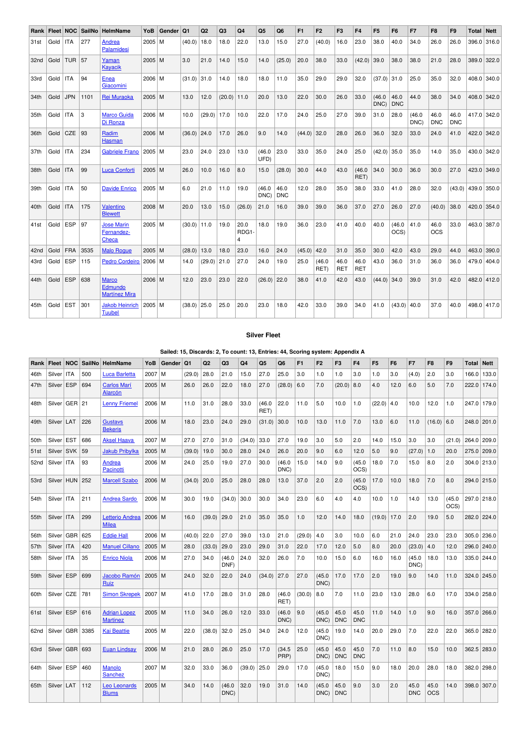| Rank             | Fleet NOC |            | SailNo | HelmName                                        | YoB      | Gender | <b>Q1</b>       | Q <sub>2</sub> | Q <sub>3</sub> | Q <sub>4</sub>                  | Q <sub>5</sub> | Q <sub>6</sub>     | F1     | F <sub>2</sub> | F <sub>3</sub> | F <sub>4</sub>     | F <sub>5</sub> | F <sub>6</sub>     | F7             | F <sub>8</sub>     | F <sub>9</sub>     | Total Nett     |             |
|------------------|-----------|------------|--------|-------------------------------------------------|----------|--------|-----------------|----------------|----------------|---------------------------------|----------------|--------------------|--------|----------------|----------------|--------------------|----------------|--------------------|----------------|--------------------|--------------------|----------------|-------------|
| 31st             | Gold      | <b>ITA</b> | 277    | Andrea<br>Palamidesi                            | $2005$ M |        | (40.0)          | 18.0           | 18.0           | 22.0                            | 13.0           | 15.0               | 27.0   | (40.0)         | 16.0           | 23.0               | 38.0           | 40.0               | 34.0           | 26.0               | 26.0               |                | 396.0 316.0 |
| 32 <sub>nd</sub> | Gold      | <b>TUR</b> | 57     | Yaman<br>Kayacik                                | $2005$ M |        | 3.0             | 21.0           | 14.0           | 15.0                            | 14.0           | (25.0)             | 20.0   | 38.0           | 33.0           | (42.0)             | 39.0           | 38.0               | 38.0           | 21.0               | 28.0               | 389.0          | 322.0       |
| 33rd             | Gold      | <b>ITA</b> | 94     | Enea<br>Giacomini                               | 2006 M   |        | (31.0)          | 31.0           | 14.0           | 18.0                            | 18.0           | 11.0               | 35.0   | 29.0           | 29.0           | 32.0               | $(37.0)$ 31.0  |                    | 25.0           | 35.0               | 32.0               | 408.0 340.0    |             |
| 34th             | Gold      | <b>JPN</b> | 1101   | Rei Muraoka                                     | $2005$ M |        | 13.0            | 12.0           | (20.0)         | 11.0                            | 20.0           | 13.0               | 22.0   | 30.0           | 26.0           | 33.0               | (46.0)<br>DNC) | 46.0<br><b>DNC</b> | 44.0           | 38.0               | 34.0               | 408.0 342.0    |             |
| 35th             | Gold      | <b>ITA</b> | 3      | <b>Marco Guida</b><br>Di Ronza                  | 2006 M   |        | 10.0            | (29.0)         | 17.0           | 10.0                            | 22.0           | 17.0               | 24.0   | 25.0           | 27.0           | 39.0               | 31.0           | 28.0               | (46.0)<br>DNC) | 46.0<br><b>DNC</b> | 46.0<br><b>DNC</b> | 417.0          | 342.0       |
| 36th             | Gold      | <b>CZE</b> | 93     | Radim<br>Hasman                                 | $2006$ M |        | (36.0)          | 24.0           | 17.0           | 26.0                            | 9.0            | 14.0               | (44.0) | 32.0           | 28.0           | 26.0               | 36.0           | 32.0               | 33.0           | 24.0               | 41.0               | 422.0          | 342.0       |
| 37th             | Gold      | <b>ITA</b> | 234    | <b>Gabriele Frano</b>                           | $2005$ M |        | 23.0            | 24.0           | 23.0           | 13.0                            | (46.0)<br>UFD) | 23.0               | 33.0   | 35.0           | 24.0           | 25.0               | (42.0)         | 35.0               | 35.0           | 14.0               | 35.0               | 430.0 342.0    |             |
| 38th             | Gold      | <b>ITA</b> | 99     | <b>Luca Conforti</b>                            | $2005$ M |        | 26.0            | 10.0           | 16.0           | 8.0                             | 15.0           | (28.0)             | 30.0   | 44.0           | 43.0           | (46.0)<br>RET)     | 34.0           | 30.0               | 36.0           | 30.0               | 27.0               | 423.0          | 349.0       |
| 39th             | Gold      | <b>ITA</b> | 50     | <b>Davide Enrico</b>                            | 2005 M   |        | 6.0             | 21.0           | 11.0           | 19.0                            | (46.0)<br>DNC) | 46.0<br><b>DNC</b> | 12.0   | 28.0           | 35.0           | 38.0               | 33.0           | 41.0               | 28.0           | 32.0               |                    | $(43.0)$ 439.0 | 350.0       |
| 40th             | Gold      | <b>ITA</b> | 175    | Valentino<br><b>Blewett</b>                     | $2008$ M |        | 20.0            | 13.0           | 15.0           | (26.0)                          | 21.0           | 16.0               | 39.0   | 39.0           | 36.0           | 37.0               | 27.0           | 26.0               | 27.0           | (40.0)             | 38.0               | 420.0          | 354.0       |
| 41st             | Gold      | ESP        | 97     | <b>Jose Marin</b><br>Fernandez-<br>Checa        | $2005$ M |        | $(30.0)$   11.0 |                | 19.0           | 20.0<br>RDG1-<br>$\overline{4}$ | 18.0           | 19.0               | 36.0   | 23.0           | 41.0           | 40.0               | 40.0           | (46.0)<br>OCS)     | 41.0           | 46.0<br><b>OCS</b> | 33.0               | 463.0 387.0    |             |
| 42nd             | Gold      | FRA        | 3535   | <b>Malo Roque</b>                               | $2005$ M |        | (28.0)          | 13.0           | 18.0           | 23.0                            | 16.0           | 24.0               | (45.0) | 42.0           | 31.0           | 35.0               | 30.0           | 42.0               | 43.0           | 29.0               | 44.0               | 463.0          | 390.0       |
| 43rd             | Gold      | ESP        | 115    | <b>Pedro Cordeiro</b>                           | 2006 M   |        | 14.0            | (29.0)         | 21.0           | 27.0                            | 24.0           | 19.0               | 25.0   | (46.0)<br>RET) | 46.0<br>RET    | 46.0<br><b>RET</b> | 43.0           | 36.0               | 31.0           | 36.0               | 36.0               | 479.0          | 404.0       |
| 44th             | Gold      | ESP        | 638    | <b>Marco</b><br>Edmundo<br><b>Martínez Mira</b> | 2006 M   |        | 12.0            | 23.0           | 23.0           | 22.0                            | $(26.0)$ 22.0  |                    | 38.0   | 41.0           | 42.0           | 43.0               | $(44.0)$ 34.0  |                    | 39.0           | 31.0               | 42.0               | 482.0 412.0    |             |
| 45th             | Gold      | <b>EST</b> | 301    | <b>Jakob Heinrich</b><br>Tuubel                 | $2005$ M |        | (38.0)          | 25.0           | 25.0           | 20.0                            | 23.0           | 18.0               | 42.0   | 33.0           | 39.0           | 34.0               | 41.0           | (43.0)             | 40.0           | 37.0               | 40.0               |                | 498.0 417.0 |

## **Silver Fleet**

**Sailed: 15, Discards: 2, To count: 13, Entries: 44, Scoring system: Appendix A**

| Rank             | Fleet        | <b>NOC</b> | SailNo | HelmName                               | YoB        | Gender | Q <sub>1</sub> | Q <sub>2</sub> | Q3             | Q4     | Q <sub>5</sub> | Q <sub>6</sub> | F <sub>1</sub> | F <sub>2</sub> | F3                 | F <sub>4</sub>     | F <sub>5</sub> | F <sub>6</sub> | F7                 | F <sub>8</sub>     | F <sub>9</sub> | Total | <b>Nett</b> |
|------------------|--------------|------------|--------|----------------------------------------|------------|--------|----------------|----------------|----------------|--------|----------------|----------------|----------------|----------------|--------------------|--------------------|----------------|----------------|--------------------|--------------------|----------------|-------|-------------|
| 46th             | Silver   ITA |            | 500    | <b>Luca Barletta</b>                   | 2007       | l M    | (29.0)         | 28.0           | 21.0           | 15.0   | 27.0           | 25.0           | 3.0            | 1.0            | 1.0                | 3.0                | 1.0            | 3.0            | (4.0)              | 2.0                | 3.0            |       | 166.0 133.0 |
| 47th             | Silver       | <b>ESP</b> | 694    | <b>Carlos Marí</b><br>Alarcón          | $2005$ M   |        | 26.0           | 26.0           | 22.0           | 18.0   | 27.0           | (28.0)         | 6.0            | 7.0            | (20.0)             | 8.0                | 4.0            | 12.0           | 6.0                | 5.0                | 7.0            |       | 222.0 174.0 |
| 48th             | Silver       | $GER$   21 |        | <b>Lenny Friemel</b>                   | 2006 M     |        | 11.0           | 31.0           | 28.0           | 33.0   | (46.0)<br>RET) | 22.0           | 11.0           | 5.0            | 10.0               | 1.0                | (22.0)         | 4.0            | 10.0               | 12.0               | 1.0            |       | 247.0 179.0 |
| 49th             | Silver   LAT |            | 226    | <b>Gustavs</b><br><b>Bekeris</b>       | 2006 M     |        | 18.0           | 23.0           | 24.0           | 29.0   | (31.0)         | 30.0           | 10.0           | 13.0           | 11.0               | 7.0                | 13.0           | 6.0            | 11.0               | $(16.0)$ 6.0       |                |       | 248.0 201.0 |
| 50th             | Silver       | <b>EST</b> | 686    | <b>Aksel Haava</b>                     | 2007       | l M    | 27.0           | 27.0           | 31.0           | (34.0) | 33.0           | 27.0           | 19.0           | 3.0            | 5.0                | 2.0                | 14.0           | 15.0           | 3.0                | 3.0                | (21.0)         |       | 264.0 209.0 |
| 51st             | Silver       | <b>SVK</b> | 59     | <b>Jakub Pribylka</b>                  | 2005       | l M    | (39.0)         | 19.0           | 30.0           | 28.0   | 24.0           | 26.0           | 20.0           | 9.0            | 6.0                | 12.0               | 5.0            | 9.0            | (27.0)             | 1.0                | 20.0           |       | 275.0 209.0 |
| 52 <sub>nd</sub> | Silver ITA   |            | 93     | Andrea<br>Pacinotti                    | 2006 M     |        | 24.0           | 25.0           | 19.0           | 27.0   | 30.0           | (46.0<br>DNC)  | 15.0           | 14.0           | 9.0                | (45.0)<br>OCS)     | 18.0           | 7.0            | 15.0               | 8.0                | 2.0            |       | 304.0 213.0 |
| 53rd             | Silver HUN   |            | 252    | <b>Marcell Szabo</b>                   | 2006       | l M    | (34.0)         | 20.0           | 25.0           | 28.0   | 28.0           | 13.0           | 37.0           | 2.0            | 2.0                | (45.0)<br>OCS)     | 17.0           | 10.0           | 18.0               | 7.0                | 8.0            |       | 294.0 215.0 |
| 54th             | Silver   ITA |            | 211    | <b>Andrea Sardo</b>                    | 2006 M     |        | 30.0           | 19.0           | (34.0)         | 30.0   | 30.0           | 34.0           | 23.0           | 6.0            | 4.0                | 4.0                | 10.0           | 1.0            | 14.0               | 13.0               | (45.0)<br>OCS) |       | 297.0 218.0 |
| 55th             | Silver   ITA |            | 299    | Letterio Andrea<br><b>Milea</b>        | $2006$ M   |        | 16.0           | (39.0)         | 29.0           | 21.0   | 35.0           | 35.0           | 1.0            | 12.0           | 14.0               | 18.0               | (19.0)         | 17.0           | 2.0                | 19.0               | 5.0            |       | 282.0 224.0 |
| 56th             | Silver       | GBR        | 625    | <b>Eddie Hall</b>                      | 2006   M   |        | (40.0)         | 22.0           | 27.0           | 39.0   | 13.0           | 21.0           | (29.0)         | 4.0            | 3.0                | 10.0               | 6.0            | 21.0           | 24.0               | 23.0               | 23.0           |       | 305.0 236.0 |
| 57th             | Silver       | ITA        | 420    | <b>Manuel Cillano</b>                  | 2005       | l M    | 28.0           | (33.0)         | 29.0           | 23.0   | 29.0           | 31.0           | 22.0           | 17.0           | 12.0               | 5.0                | 8.0            | 20.0           | (23.0)             | 4.0                | 12.0           |       | 296.0 240.0 |
| 58th             | Silver   ITA |            | 35     | <b>Enrico Niola</b>                    | 2006   M   |        | 27.0           | 34.0           | (46.0)<br>DNF) | 24.0   | 32.0           | 26.0           | 7.0            | 10.0           | 15.0               | 6.0                | 16.0           | 16.0           | (45.0<br>DNC)      | 18.0               | 13.0           |       | 335.0 244.0 |
| 59th             | Silver   ESP |            | 699    | Jacobo Ramón<br>Ruiz                   | 2005 M     |        | 24.0           | 32.0           | 22.0           | 24.0   | (34.0)         | 27.0           | 27.0           | (45.0)<br>DNC) | 17.0               | 17.0               | 2.0            | 19.0           | 9.0                | 14.0               | 11.0           |       | 324.0 245.0 |
| 60th             | Silver   CZE |            | 781    | <b>Simon Skrepek</b>                   | $2007$   M |        | 41.0           | 17.0           | 28.0           | 31.0   | 28.0           | (46.0<br>RET)  | (30.0)         | 8.0            | 7.0                | 11.0               | 23.0           | 13.0           | 28.0               | 6.0                | 17.0           |       | 334.0 258.0 |
| 61 <sub>st</sub> | Silver   ESP |            | 616    | <b>Adrian Lopez</b><br><b>Martinez</b> | $2005$ M   |        | 11.0           | 34.0           | 26.0           | 12.0   | 33.0           | (46.0)<br>DNC) | 9.0            | (45.0)<br>DNC) | 45.0<br><b>DNC</b> | 45.0<br><b>DNC</b> | 11.0           | 14.0           | 1.0                | 9.0                | 16.0           |       | 357.0 266.0 |
| 62nd             |              | Silver GBR | 3385   | <b>Kai Beattie</b>                     | 2005   M   |        | 22.0           | (38.0)         | 32.0           | 25.0   | 34.0           | 24.0           | 12.0           | (45.0)<br>DNC) | 19.0               | 14.0               | 20.0           | 29.0           | 7.0                | 22.0               | 22.0           |       | 365.0 282.0 |
| 63rd             | Silver       | <b>GBR</b> | 693    | <b>Euan Lindsav</b>                    | 2006 M     |        | 21.0           | 28.0           | 26.0           | 25.0   | 17.0           | (34.5)<br>PRP) | 25.0           | (45.0)<br>DNC) | 45.0<br><b>DNC</b> | 45.0<br><b>DNC</b> | 7.0            | 11.0           | 8.0                | 15.0               | 10.0           |       | 362.5 283.0 |
| 64th             | Silver ESP   |            | 460    | <b>Manolo</b><br>Sanchez               | 2007   M   |        | 32.0           | 33.0           | 36.0           | (39.0) | 25.0           | 29.0           | 17.0           | (45.0)<br>DNC) | 18.0               | 15.0               | 9.0            | 18.0           | 20.0               | 28.0               | 18.0           |       | 382.0 298.0 |
| 65th             | Silver   LAT |            | 112    | <b>Leo Leonards</b><br><b>Blums</b>    | 2005   M   |        | 34.0           | 14.0           | (46.0)<br>DNC) | 32.0   | 19.0           | 31.0           | 14.0           | (45.0)<br>DNC) | 45.0<br><b>DNC</b> | 9.0                | 3.0            | 2.0            | 45.0<br><b>DNC</b> | 45.0<br><b>OCS</b> | 14.0           |       | 398.0 307.0 |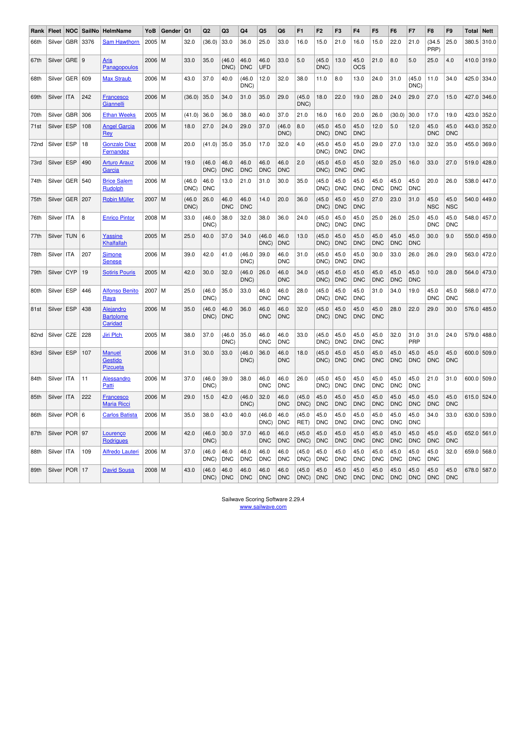| Rank             | Fleet  |            | NOC SailNo | HelmName                                           | YoB  | Gender | Q1             | Q <sub>2</sub>     | Q3                 | Q4                 | Q <sub>5</sub>     | Q <sub>6</sub>     | F <sub>1</sub> | F <sub>2</sub>     | F <sub>3</sub>     | F4                 | F <sub>5</sub>     | F <sub>6</sub>     | F7                 | F <sub>8</sub>     | F <sub>9</sub>     | Total       | <b>Nett</b> |
|------------------|--------|------------|------------|----------------------------------------------------|------|--------|----------------|--------------------|--------------------|--------------------|--------------------|--------------------|----------------|--------------------|--------------------|--------------------|--------------------|--------------------|--------------------|--------------------|--------------------|-------------|-------------|
| 66th             | Silver | GBR        | 3376       | <b>Sam Hawthorn</b>                                | 2005 | м      | 32.0           | (36.0)             | 33.0               | 36.0               | 25.0               | 33.0               | 16.0           | 15.0               | 21.0               | 16.0               | 15.0               | 22.0               | 21.0               | (34.5<br>PRP)      | 25.0               | 380.5       | 310.0       |
| 67th             | Silver | GRE        | l 9        | <b>Aris</b><br>Panagopoulos                        | 2006 | M      | 33.0           | 35.0               | (46.0)<br>DNC)     | 46.0<br><b>DNC</b> | 46.0<br><b>UFD</b> | 33.0               | 5.0            | (45.0)<br>DNC)     | 13.0               | 45.0<br>OCS        | 21.0               | 8.0                | 5.0                | 25.0               | 4.0                |             | 410.0 319.0 |
| 68th             | Silver | GER        | 609        | <b>Max Straub</b>                                  | 2006 | M      | 43.0           | 37.0               | 40.0               | (46.0<br>DNC)      | 12.0               | 32.0               | 38.0           | 11.0               | 8.0                | 13.0               | 24.0               | 31.0               | (45.0)<br>DNC)     | 11.0               | 34.0               |             | 425.0 334.0 |
| 69th             | Silver | ITA        | 242        | <b>Francesco</b><br><b>Giannelli</b>               | 2006 | M      | (36.0)         | 35.0               | 34.0               | 31.0               | 35.0               | 29.0               | (45.0)<br>DNC) | 18.0               | 22.0               | 19.0               | 28.0               | 24.0               | 29.0               | 27.0               | 15.0               |             | 427.0 346.0 |
| 70th             | Silver | <b>GBR</b> | 306        | <b>Ethan Weeks</b>                                 | 2005 | М      | (41.0)         | 36.0               | 36.0               | 38.0               | 40.0               | 37.0               | 21.0           | 16.0               | 16.0               | 20.0               | 26.0               | (30.0)             | 30.0               | 17.0               | 19.0               | 423.0       | 352.0       |
| 71st             | Silver | ESP        | 108        | <b>Angel Garcia</b><br><b>Rey</b>                  | 2006 | M      | 18.0           | 27.0               | 24.0               | 29.0               | 37.0               | (46.0<br>DNC)      | 8.0            | (45.0)<br>DNC)     | 45.0<br><b>DNC</b> | 45.0<br><b>DNC</b> | 12.0               | 5.0                | 12.0               | 45.0<br><b>DNC</b> | 45.0<br><b>DNC</b> | 443.0       | 352.0       |
| 72 <sub>nd</sub> | Silver | <b>ESP</b> | 18         | <b>Gonzalo Diaz</b><br>Fernandez                   | 2008 | M      | 20.0           | (41.0)             | 35.0               | 35.0               | 17.0               | 32.0               | 4.0            | (45.0<br>DNC)      | 45.0<br><b>DNC</b> | 45.0<br><b>DNC</b> | 29.0               | 27.0               | 13.0               | 32.0               | 35.0               |             | 455.0 369.0 |
| 73rd             | Silver | <b>ESP</b> | 490        | <b>Arturo Arauz</b><br><b>Garcia</b>               | 2006 | M      | 19.0           | (46.0)<br>DNC)     | 46.0<br><b>DNC</b> | 46.0<br><b>DNC</b> | 46.0<br><b>DNC</b> | 46.0<br><b>DNC</b> | 2.0            | (45.0)<br>DNC)     | 45.0<br><b>DNC</b> | 45.0<br><b>DNC</b> | 32.0               | 25.0               | 16.0               | 33.0               | 27.0               | 519.0       | 428.0       |
| 74th             | Silver | GER        | 540        | <b>Brice Salem</b><br>Rudolph                      | 2006 | l M    | (46.0<br>DNC)  | 46.0<br><b>DNC</b> | 13.0               | 21.0               | 31.0               | 30.0               | 35.0           | (45.0<br>DNC)      | 45.0<br><b>DNC</b> | 45.0<br><b>DNC</b> | 45.0<br><b>DNC</b> | 45.0<br><b>DNC</b> | 45.0<br><b>DNC</b> | 20.0               | 26.0               | 538.0       | 447.0       |
| 75th             | Silver | GER        | 207        | <b>Robin Müller</b>                                | 2007 | M      | (46.0)<br>DNC) | 26.0               | 46.0<br><b>DNC</b> | 46.0<br><b>DNC</b> | 14.0               | 20.0               | 36.0           | (45.0)<br>DNC)     | 45.0<br><b>DNC</b> | 45.0<br><b>DNC</b> | 27.0               | 23.0               | 31.0               | 45.0<br><b>NSC</b> | 45.0<br><b>NSC</b> | 540.0       | 449.0       |
| 76th             | Silver | <b>ITA</b> | 8          | <b>Enrico Pintor</b>                               | 2008 | l M    | 33.0           | (46.0)<br>DNC)     | 38.0               | 32.0               | 38.0               | 36.0               | 24.0           | (45.0)<br>DNC)     | 45.0<br><b>DNC</b> | 45.0<br><b>DNC</b> | 25.0               | 26.0               | 25.0               | 45.0<br><b>DNC</b> | 45.0<br><b>DNC</b> | 548.0       | 457.0       |
| 77th             | Silver | <b>TUN</b> | 6          | <b>Yassine</b><br>Khalfallah                       | 2005 | M      | 25.0           | 40.0               | 37.0               | 34.0               | (46.0)<br>DNC)     | 46.0<br><b>DNC</b> | 13.0           | (45.0<br>DNC)      | 45.0<br><b>DNC</b> | 45.0<br><b>DNC</b> | 45.0<br><b>DNC</b> | 45.0<br><b>DNC</b> | 45.0<br><b>DNC</b> | 30.0               | 9.0                | 550.0       | 459.0       |
| 78th             | Silver | <b>ITA</b> | 207        | <b>Simone</b><br><b>Senese</b>                     | 2006 | M      | 39.0           | 42.0               | 41.0               | (46.0)<br>DNC)     | 39.0               | 46.0<br><b>DNC</b> | 31.0           | (45.0)<br>DNC)     | 45.0<br><b>DNC</b> | 45.0<br><b>DNC</b> | 30.0               | 33.0               | 26.0               | 26.0               | 29.0               |             | 563.0 472.0 |
| 79th             | Silver | <b>CYP</b> | 19         | <b>Sotiris Pouris</b>                              | 2005 | l M    | 42.0           | 30.0               | 32.0               | (46.0)<br>DNC)     | 26.0               | 46.0<br><b>DNC</b> | 34.0           | (45.0)<br>DNC)     | 45.0<br><b>DNC</b> | 45.0<br><b>DNC</b> | 45.0<br><b>DNC</b> | 45.0<br><b>DNC</b> | 45.0<br><b>DNC</b> | 10.0               | 28.0               | 564.0       | 473.0       |
| 80th             | Silver | <b>ESP</b> | 446        | <b>Alfonso Benito</b><br>Raya                      | 2007 | м      | 25.0           | (46.0<br>DNC)      | 35.0               | 33.0               | 46.0<br><b>DNC</b> | 46.0<br><b>DNC</b> | 28.0           | (45.0)<br>DNC)     | 45.0<br><b>DNC</b> | 45.0<br><b>DNC</b> | 31.0               | 34.0               | 19.0               | 45.0<br><b>DNC</b> | 45.0<br><b>DNC</b> |             | 568.0 477.0 |
| 81st             | Silver | <b>ESP</b> | 438        | Alejandro<br><b>Bartolome</b><br>Caridad           | 2006 | M      | 35.0           | (46.0)<br>DNC)     | 46.0<br><b>DNC</b> | 36.0               | 46.0<br><b>DNC</b> | 46.0<br><b>DNC</b> | 32.0           | (45.0)<br>DNC)     | 45.0<br><b>DNC</b> | 45.0<br><b>DNC</b> | 45.0<br><b>DNC</b> | 28.0               | 22.0               | 29.0               | 30.0               |             | 576.0 485.0 |
| 82nd             | Silver | CZE        | 228        | <b>Jiri Plch</b>                                   | 2005 | M      | 38.0           | 37.0               | (46.0)<br>DNC)     | 35.0               | 46.0<br><b>DNC</b> | 46.0<br><b>DNC</b> | 33.0           | (45.0)<br>DNC)     | 45.0<br><b>DNC</b> | 45.0<br><b>DNC</b> | 45.0<br><b>DNC</b> | 32.0               | 31.0<br>PRP        | 31.0               | 24.0               | 579.0       | 488.0       |
| 83rd             | Silver | <b>ESP</b> | 107        | <b>Manuel</b><br><b>Gestido</b><br><b>Pizcueta</b> | 2006 | M      | 31.0           | 30.0               | 33.0               | (46.0)<br>DNC)     | 36.0               | 46.0<br><b>DNC</b> | 18.0           | (45.0)<br>DNC)     | 45.0<br><b>DNC</b> | 45.0<br><b>DNC</b> | 45.0<br><b>DNC</b> | 45.0<br><b>DNC</b> | 45.0<br><b>DNC</b> | 45.0<br><b>DNC</b> | 45.0<br><b>DNC</b> | 600.0 509.0 |             |
| 84th             | Silver | ITA        | 11         | <b>Alessandro</b><br>Patti                         | 2006 | м      | 37.0           | (46.0<br>DNC)      | 39.0               | 38.0               | 46.0<br><b>DNC</b> | 46.0<br><b>DNC</b> | 26.0           | (45.0)<br>DNC)     | 45.0<br><b>DNC</b> | 45.0<br><b>DNC</b> | 45.0<br><b>DNC</b> | 45.0<br><b>DNC</b> | 45.0<br><b>DNC</b> | 21.0               | 31.0               |             | 600.0 509.0 |
| 85th             | Silver | <b>ITA</b> | 222        | <b>Francesco</b><br><b>Maria Ricci</b>             | 2006 | M      | 29.0           | 15.0               | 42.0               | (46.0)<br>DNC)     | 32.0               | 46.0<br><b>DNC</b> | (45.0)<br>DNC) | 45.0<br><b>DNC</b> | 45.0<br><b>DNC</b> | 45.0<br><b>DNC</b> | 45.0<br><b>DNC</b> | 45.0<br><b>DNC</b> | 45.0<br><b>DNC</b> | 45.0<br><b>DNC</b> | 45.0<br><b>DNC</b> |             | 615.0 524.0 |
| 86th             | Silver | <b>POR</b> | 6          | <b>Carlos Batista</b>                              | 2006 | M      | 35.0           | 38.0               | 43.0               | 40.0               | (46.0)<br>DNC)     | 46.0<br><b>DNC</b> | (45.0)<br>RET) | 45.0<br><b>DNC</b> | 45.0<br><b>DNC</b> | 45.0<br><b>DNC</b> | 45.0<br><b>DNC</b> | 45.0<br><b>DNC</b> | 45.0<br><b>DNC</b> | 34.0               | 33.0               | 630.0       | 539.0       |
| 87th             | Silver | <b>POR</b> | 97         | <b>Lourenco</b><br>Rodrigues                       | 2006 | M      | 42.0           | (46.0)<br>DNC)     | 30.0               | 37.0               | 46.0<br><b>DNC</b> | 46.0<br><b>DNC</b> | (45.0)<br>DNC) | 45.0<br><b>DNC</b> | 45.0<br><b>DNC</b> | 45.0<br><b>DNC</b> | 45.0<br><b>DNC</b> | 45.0<br><b>DNC</b> | 45.0<br><b>DNC</b> | 45.0<br><b>DNC</b> | 45.0<br><b>DNC</b> |             | 652.0 561.0 |
| 88th             | Silver | ITA        | 109        | <b>Alfredo Lauteri</b>                             | 2006 | М      | 37.0           | (46.0)<br>DNC)     | 46.0<br><b>DNC</b> | 46.0<br><b>DNC</b> | 46.0<br><b>DNC</b> | 46.0<br><b>DNC</b> | (45.0)<br>DNC) | 45.0<br><b>DNC</b> | 45.0<br><b>DNC</b> | 45.0<br><b>DNC</b> | 45.0<br><b>DNC</b> | 45.0<br><b>DNC</b> | 45.0<br><b>DNC</b> | 45.0<br><b>DNC</b> | 32.0               | 659.0       | 568.0       |
| 89th             | Silver | <b>POR</b> | 17         | <b>David Sousa</b>                                 | 2008 | l M    | 43.0           | (46.0)<br>DNC)     | 46.0<br><b>DNC</b> | 46.0<br><b>DNC</b> | 46.0<br><b>DNC</b> | 46.0<br><b>DNC</b> | (45.0)<br>DNC) | 45.0<br><b>DNC</b> | 45.0<br><b>DNC</b> | 45.0<br><b>DNC</b> | 45.0<br><b>DNC</b> | 45.0<br><b>DNC</b> | 45.0<br><b>DNC</b> | 45.0<br><b>DNC</b> | 45.0<br><b>DNC</b> |             | 678.0 587.0 |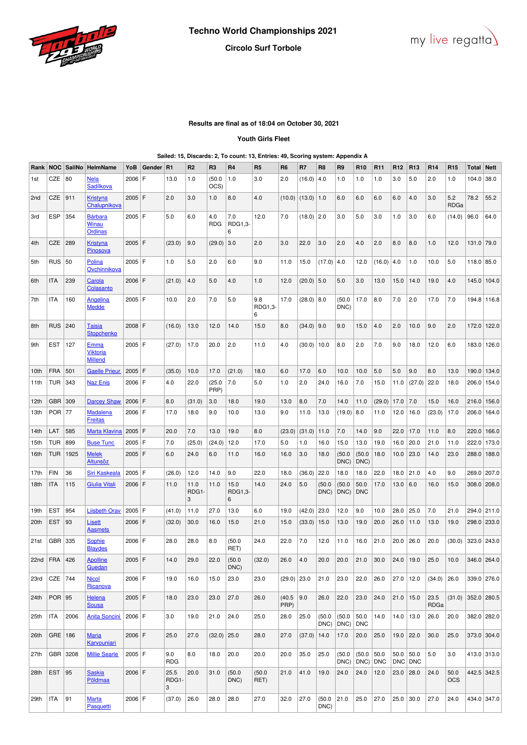



# **Circolo Surf Torbole**

## **Results are final as of 18:04 on October 30, 2021**

### **Youth Girls Fleet**

### **Sailed: 15, Discards: 2, To count: 13, Entries: 49, Scoring system: Appendix A**

| Rank         | <b>NOC</b>     | SailNo   | HelmName                                         | YoB      | Gender | R1                 | R <sub>2</sub>     | R <sub>3</sub>    | R <sub>4</sub>       | R <sub>5</sub>      | R <sub>6</sub> | R7            | R <sub>8</sub> | R <sub>9</sub>      | R <sub>10</sub>     | R <sub>11</sub> | R <sub>12</sub> | R <sub>13</sub> | R <sub>14</sub> | R <sub>15</sub>                                       | Total       | <b>Nett</b>   |
|--------------|----------------|----------|--------------------------------------------------|----------|--------|--------------------|--------------------|-------------------|----------------------|---------------------|----------------|---------------|----------------|---------------------|---------------------|-----------------|-----------------|-----------------|-----------------|-------------------------------------------------------|-------------|---------------|
| 1st          | CZE            | 80       | <b>Nela</b><br><b>Sadílkova</b>                  | $2006$ F |        | 13.0               | 1.0                | (50.0)<br>OCS)    | 1.0                  | 3.0                 | 2.0            | (16.0)        | 4.0            | 1.0                 | 1.0                 | 1.0             | 3.0             | 5.0             | 2.0             | 1.0                                                   | 104.0       | 38.0          |
| 2nd          | <b>CZE</b>     | 911      | <b>Kristyna</b><br>Chalupnikova                  | $2005$ F |        | 2.0                | 3.0                | 1.0               | 8.0                  | 4.0                 | (10.0)         | (13.0)        | 1.0            | 6.0                 | 6.0                 | 6.0             | 6.0             | 4.0             | 3.0             | 5.2<br>RDGa                                           | 78.2        | 55.2          |
| 3rd          | <b>ESP</b>     | 354      | <b>Bárbara</b><br>Winau<br>Ordinas               | $2005$ F |        | 5.0                | 6.0                | 4.0<br><b>RDG</b> | 7.0<br>RDG1,3-<br>6  | 12.0                | 7.0            | $(18.0)$ 2.0  |                | 3.0                 | 5.0                 | 3.0             | 1.0             | 3.0             | 6.0             | (14.0)                                                | 96.0        | 64.0          |
| 4th          | <b>CZE</b>     | 289      | <b>Kristyna</b><br><b>Pinosova</b>               | $2005$ F |        | (23.0)             | 9.0                | (29.0)            | 3.0                  | 2.0                 | 3.0            | 22.0          | 3.0            | 2.0                 | 4.0                 | 2.0             | 8.0             | 8.0             | 1.0             | 12.0                                                  | 131.0 79.0  |               |
| 5th          | <b>RUS</b>     | 50       | Polina<br>Ovchinnikova                           | 2005 F   |        | 1.0                | 5.0                | 2.0               | 6.0                  | 9.0                 | 11.0           | 15.0          | (17.0)         | 4.0                 | 12.0                | (16.0)          | 4.0             | 1.0             | 10.0            | 5.0                                                   | 118.0 85.0  |               |
| 6th          | <b>ITA</b>     | 239      | Carola<br>Colasanto                              | $2006$ F |        | (21.0)             | 4.0                | 5.0               | 4.0                  | 1.0                 | 12.0           | $(20.0)$ 5.0  |                | 5.0                 | 3.0                 | 13.0            | 15.0            | 14.0            | 19.0            | 4.0                                                   |             | 145.0 104.0   |
| 7th          | ITA            | 160      | Angelina<br><b>Medde</b>                         | $2005$ F |        | 10.0               | 2.0                | 7.0               | 5.0                  | 9.8<br>RDG1,3-<br>6 | 17.0           | $(28.0)$ 8.0  |                | (50.0)<br>DNC)      | 17.0                | 8.0             | 7.0             | 2.0             | 17.0            | 7.0                                                   |             | 194.8   116.8 |
| 8th          | <b>RUS</b>     | 240      | <b>Taisia</b><br><b>Stopchenko</b>               | 2008 F   |        | (16.0)             | 13.0               | 12.0              | 14.0                 | 15.0                | 8.0            | $(34.0)$ 9.0  |                | 9.0                 | 15.0                | 4.0             | 2.0             | 10.0            | 9.0             | 2.0                                                   | 172.0       | 122.0         |
| 9th          | EST            | 127      | <u>Emma</u><br><b>Viktoria</b><br><b>Millend</b> | 2005   F |        | (27.0)             | 17.0               | 20.0              | 2.0                  | 11.0                | 4.0            | (30.0)        | 10.0           | 8.0                 | 2.0                 | 7.0             | 9.0             | 18.0            | 12.0            | 6.0                                                   | 183.0       | 126.0         |
| 10th         | <b>FRA</b>     | 501      | <b>Gaelle Prieur</b>                             | 2005 F   |        | (35.0)             | 10.0               | 17.0              | (21.0)               | 18.0                | 6.0            | 17.0          | 6.0            | 10.0                | 10.0                | 5.0             | 5.0             | 9.0             | 8.0             | 13.0                                                  | 190.0       | 134.0         |
| 11th         | TUR            | 343      | <b>Naz Enis</b>                                  | 2006   F |        | 4.0                | 22.0               | (25.0)<br>PRP)    | 7.0                  | 5.0                 | 1.0            | 2.0           | 24.0           | 16.0                | 7.0                 | 15.0            | 11.0            | (27.0)          | 22.0            | 18.0                                                  | 206.0       | 154.0         |
| 12th         | <b>GBR</b>     | 309      | <b>Darcey Shaw</b>                               | $2006$ F |        | 8.0                | (31.0)             | 3.0               | 18.0                 | 19.0                | 13.0           | 8.0           | 7.0            | 14.0                | 11.0                | (29.0)          | 17.0            | 7.0             | 15.0            | 16.0                                                  | 216.0       | 156.0         |
| 13th         | <b>POR  77</b> |          | <b>Madalena</b><br><b>Freitas</b>                | 2006 F   |        | 17.0               | 18.0               | 9.0               | 10.0                 | 13.0                | 9.0            | 11.0          | 13.0           | $(19.0)$ 8.0        |                     | 11.0            | 12.0            | 16.0            | (23.0)          | 17.0                                                  | 206.0       | 164.0         |
| 14th         | LAT            | 585      | <b>Marta Klavina</b>                             | $2005$ F |        | 20.0               | 7.0                | 13.0              | 19.0                 | 8.0                 | (23.0)         | (31.0)        | 11.0           | 7.0                 | 14.0                | 9.0             | 22.0            | 17.0            | 11.0            | 8.0                                                   | 220.0       | 166.0         |
| 15th         | <b>TUR</b>     | 899      | <b>Buse Tunc</b>                                 | $2005$ F |        | 7.0                | (25.0)             | (24.0)            | 12.0                 | 17.0                | 5.0            | 1.0           | 16.0           | 15.0                | 13.0                | 19.0            | 16.0            | 20.0            | 21.0            | 11.0                                                  | 222.0       | 173.0         |
| 16th         | TUR            | 1925     | <b>Melek</b><br>Altunsöz                         | $2005$ F |        | 6.0                | 24.0               | 6.0               | 11.0                 | 16.0                | 16.0           | 3.0           | 18.0           | (50.0)<br>DNC)      | (50.0)<br>DNC)      | 18.0            | 10.0            | 23.0            | 14.0            | 23.0                                                  | 288.0       | 188.0         |
| 17th         | <b>FIN</b>     | 36       | <b>Siri Kaskeala</b>                             | $2005$ F |        | (26.0)             | 12.0               | 14.0              | 9.0                  | 22.0                | 18.0           | (36.0)        | 22.0           | 18.0                | 18.0                | 22.0            | 18.0            | 21.0            | 4.0             | 9.0                                                   | 269.0       | 207.0         |
| 18th         | <b>ITA</b>     | 115      | <b>Giulia Vitali</b>                             | $2006$ F |        | 11.0               | 11.0<br>RDG1-<br>3 | 11.0              | 15.0<br>RDG1,3-<br>6 | 14.0                | 24.0           | 5.0           | (50.0)<br>DNC) | (50.0)<br>DNC)      | 50.0<br><b>DNC</b>  | 17.0            | 13.0            | 6.0             | 16.0            | 15.0                                                  |             | 308.0 208.0   |
| 19th         | <b>EST</b>     | 954      | <b>Liisbeth Orav</b>                             | $2005$ F |        | (41.0)             | 11.0               | 27.0              | 13.0                 | 6.0                 | 19.0           | (42.0)        | 23.0           | 12.0                | 9.0                 | 10.0            | 28.0            | 25.0            | 7.0             | 21.0                                                  | 294.0       | 211.0         |
| 20th         | <b>EST</b>     | 93       | <b>Lisett</b><br><b>Aasmets</b>                  | $2006$ F |        | (32.0)             | 30.0               | 16.0              | 15.0                 | 21.0                | 15.0           | (33.0)        | 15.0           | 13.0                | 19.0                | 20.0            | 26.0            | 11.0            | 13.0            | 19.0                                                  | 298.0 233.0 |               |
| 21st         | GBR            | 335      | <b>Sophie</b><br><b>Blaydes</b>                  | 2006   F |        | 28.0               | 28.0               | 8.0               | (50.0)<br>RET)       | 24.0                | 22.0           | 7.0           | 12.0           | 11.0                | 16.0                | 21.0            | 20.0            | 26.0            | 20.0            | (30.0)                                                |             | 323.0 243.0   |
| 22nd FRA 426 |                |          | Apolline<br>Guedan                               | 2005 F   |        | 14.0               | 29.0               | 22.0              | (50.0)<br>DNC)       | (32.0)              | 26.0 4.0       |               |                | 20.0 20.0 21.0 30.0 |                     |                 |                 | $24.0$ 19.0     |                 | $\vert$ 25.0 $\vert$ 10.0 $\vert$ 346.0 $\vert$ 264.0 |             |               |
| 23rd         | CZE   744      |          | <b>Nicol</b><br>Ricanova                         | 2006 F   |        | 19.0               | 16.0               | 15.0              | 23.0                 | 23.0                | $(29.0)$ 23.0  |               | 21.0           | 23.0                | 22.0                | 26.0            | 27.0            | 12.0            | $(34.0)$ 26.0   |                                                       |             | 339.0 276.0   |
| 24th         | $POR$ 95       |          | <b>Helena</b><br><b>Sousa</b>                    | $2005$ F |        | 18.0               | 23.0               | 23.0              | 27.0                 | 26.0                | (40.5)<br>PRP) | 9.0           | 26.0           | 22.0                | 23.0                | 24.0            | 21.0            | 15.0            | 23.5<br>RDGa    | (31.0)                                                | 352.0 280.5 |               |
| 25th         | ITA            | 2006     | <b>Anita Soncini</b>                             | $2006$ F |        | 3.0                | 19.0               | 21.0              | 24.0                 | 25.0                | 28.0           | 25.0          | (50.0)<br>DNC) | (50.0)<br>DNC)      | 50.0<br><b>DNC</b>  | 14.0            | 14.0            | 13.0            | 26.0            | 20.0                                                  |             | 382.0 282.0   |
| 26th         | GRE   186      |          | <b>Maria</b><br>Karvouniari                      | 2006 F   |        | 25.0               | 27.0               | $(32.0)$ 25.0     |                      | 28.0                | 27.0           | $(37.0)$ 14.0 |                | 17.0                | 20.0                | 25.0            | $19.0$ 22.0     |                 | 30.0            | 25.0                                                  |             | 373.0 304.0   |
| 27th         |                | GBR 3208 | <b>Millie Searle</b>                             | $2005$ F |        | 9.0<br><b>RDG</b>  | 8.0                | 18.0              | 20.0                 | 20.0                | 20.0           | 35.0          | 25.0           | (50.0)<br>DNC)      | (50.0)<br>$DNC$ DNC | 50.0            | 50.0<br>DNC DNC | 50.0            | 5.0             | 3.0                                                   |             | 413.0 313.0   |
| 28th         | EST $ 95$      |          | <b>Saskia</b><br>Põldmaa                         | $2006$ F |        | 25.5<br>RDG1-<br>3 | 20.0               | 31.0              | (50.0)<br>DNC)       | (50.0)<br>RET)      | 21.0           | 41.0          | 19.0           | 24.0                | 24.0                | 12.0            | 23.0            | 28.0            | 24.0            | 50.0<br><b>OCS</b>                                    |             | 442.5 342.5   |
| 29th         | ITA            | 91       | <b>Marta</b><br>Pasquetti                        | 2006 F   |        | (37.0)             | 26.0               | 28.0              | 28.0                 | 27.0                | 32.0           | 27.0          | (50.0)<br>DNC) | 21.0                | 25.0                | 27.0            | 25.0            | 30.0            | 27.0            | 24.0                                                  |             | 434.0 347.0   |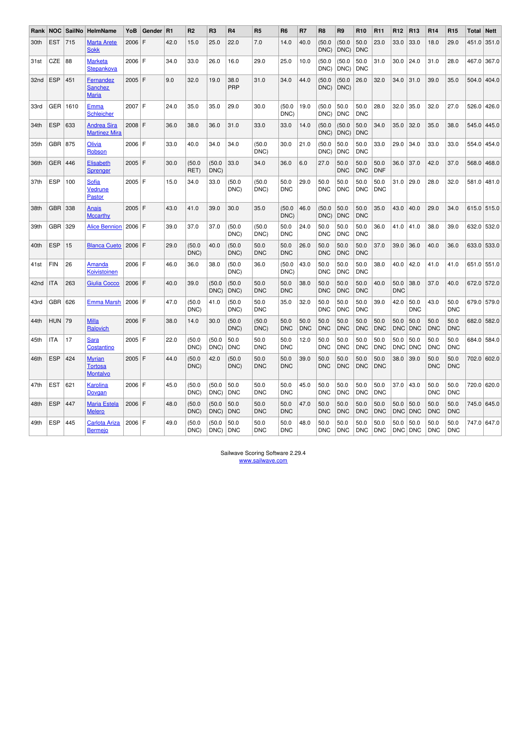| Rank | <b>NOC</b> | SailNo | <b>HelmName</b>                                    | YoB      | Gender | R <sub>1</sub> | R <sub>2</sub> | R <sub>3</sub> | R4                 | R <sub>5</sub>     | R <sub>6</sub>     | R7                 | R <sub>8</sub>     | R9                 | R <sub>10</sub>    | R <sub>11</sub>    | R <sub>12</sub>    | R <sub>13</sub>    | R <sub>14</sub>    | R <sub>15</sub>    | Total | <b>Nett</b> |
|------|------------|--------|----------------------------------------------------|----------|--------|----------------|----------------|----------------|--------------------|--------------------|--------------------|--------------------|--------------------|--------------------|--------------------|--------------------|--------------------|--------------------|--------------------|--------------------|-------|-------------|
| 30th | <b>EST</b> | 715    | <b>Marta Arete</b><br><b>Sokk</b>                  | 2006     | ١F     | 42.0           | 15.0           | 25.0           | 22.0               | 7.0                | 14.0               | 40.0               | (50.0)<br>DNC)     | (50.0)<br>DNC)     | 50.0<br><b>DNC</b> | 23.0               | 33.0               | 33.0               | 18.0               | 29.0               | 451.0 | 351.0       |
| 31st | <b>CZE</b> | 88     | <b>Marketa</b><br>Stepankova                       | 2006 F   |        | 34.0           | 33.0           | 26.0           | 16.0               | 29.0               | 25.0               | 10.0               | (50.0)<br>DNC)     | (50.0)<br>DNC)     | 50.0<br><b>DNC</b> | 31.0               | 30.0               | 24.0               | 31.0               | 28.0               | 467.0 | 367.0       |
| 32nd | <b>ESP</b> | 451    | Fernandez<br><b>Sanchez</b><br><b>Maria</b>        | $2005$ F |        | 9.0            | 32.0           | 19.0           | 38.0<br>PRP        | 31.0               | 34.0               | 44.0               | (50.0)<br>DNC)     | (50.0)<br>DNC)     | 26.0               | 32.0               | 34.0               | 31.0               | 39.0               | 35.0               | 504.0 | 404.0       |
| 33rd | <b>GER</b> | 1610   | Emma<br>Schleicher                                 | $2007$ F |        | 24.0           | 35.0           | 35.0           | 29.0               | 30.0               | (50.0)<br>DNC)     | 19.0               | (50.0)<br>DNC)     | 50.0<br><b>DNC</b> | 50.0<br><b>DNC</b> | 28.0               | 32.0               | 35.0               | 32.0               | 27.0               | 526.0 | 426.0       |
| 34th | <b>ESP</b> | 633    | <b>Andrea Sira</b><br><b>Martinez Mira</b>         | 2008 F   |        | 36.0           | 38.0           | 36.0           | 31.0               | 33.0               | 33.0               | 14.0               | (50.0)<br>DNC)     | (50.0)<br>DNC)     | 50.0<br><b>DNC</b> | 34.0               | 35.0               | 32.0               | 35.0               | 38.0               | 545.0 | 445.0       |
| 35th | <b>GBR</b> | 875    | Olivia<br>Robson                                   | 2006 F   |        | 33.0           | 40.0           | 34.0           | 34.0               | (50.0)<br>DNC)     | 30.0               | 21.0               | (50.0)<br>DNC)     | 50.0<br><b>DNC</b> | 50.0<br><b>DNC</b> | 33.0               | 29.0               | 34.0               | 33.0               | 33.0               | 554.0 | 454.0       |
| 36th | <b>GER</b> | 446    | Elisabeth<br><b>Sprenger</b>                       | 2005     | ١F     | 30.0           | (50.0<br>RET)  | (50.0)<br>DNC) | 33.0               | 34.0               | 36.0               | 6.0                | 27.0               | 50.0<br><b>DNC</b> | 50.0<br><b>DNC</b> | 50.0<br><b>DNF</b> | 36.0               | 37.0               | 42.0               | 37.0               | 568.0 | 468.0       |
| 37th | <b>ESP</b> | 100    | Sofia<br>Vedrune<br>Pastor                         | 2005 F   |        | 15.0           | 34.0           | 33.0           | (50.0)<br>DNC)     | (50.0)<br>DNC)     | 50.0<br><b>DNC</b> | 29.0               | 50.0<br><b>DNC</b> | 50.0<br><b>DNC</b> | 50.0<br><b>DNC</b> | 50.0<br><b>DNC</b> | 31.0               | 29.0               | 28.0               | 32.0               | 581.0 | 481.0       |
| 38th | <b>GBR</b> | 338    | Anais<br><b>Mccarthy</b>                           | $2005$ F |        | 43.0           | 41.0           | 39.0           | 30.0               | 35.0               | (50.0)<br>DNC)     | 46.0               | (50.0)<br>DNC)     | 50.0<br><b>DNC</b> | 50.0<br><b>DNC</b> | 35.0               | 43.0               | 40.0               | 29.0               | 34.0               |       | 615.0 515.0 |
| 39th | <b>GBR</b> | 329    | <b>Alice Bennion</b>                               | $2006$ F |        | 39.0           | 37.0           | 37.0           | (50.0)<br>DNC)     | (50.0)<br>DNC)     | 50.0<br><b>DNC</b> | 24.0               | 50.0<br><b>DNC</b> | 50.0<br><b>DNC</b> | 50.0<br><b>DNC</b> | 36.0               | 41.0               | 41.0               | 38.0               | 39.0               | 632.0 | 532.0       |
| 40th | <b>ESP</b> | 15     | <b>Blanca Cueto</b>                                | $2006$ F |        | 29.0           | (50.0)<br>DNC) | 40.0           | (50.0)<br>DNC)     | 50.0<br><b>DNC</b> | 50.0<br><b>DNC</b> | 26.0               | 50.0<br><b>DNC</b> | 50.0<br><b>DNC</b> | 50.0<br><b>DNC</b> | 37.0               | 39.0               | 36.0               | 40.0               | 36.0               | 633.0 | 533.0       |
| 41st | <b>FIN</b> | 26     | Amanda<br>Koivistoinen                             | $2006$ F |        | 46.0           | 36.0           | 38.0           | (50.0)<br>DNC)     | 36.0               | (50.0)<br>DNC)     | 43.0               | 50.0<br><b>DNC</b> | 50.0<br><b>DNC</b> | 50.0<br><b>DNC</b> | 38.0               | 40.0               | 42.0               | 41.0               | 41.0               | 651.0 | 551.0       |
| 42nd | <b>ITA</b> | 263    | Giulia Cocco                                       | $2006$ F |        | 40.0           | 39.0           | (50.0)<br>DNC) | (50.0)<br>DNC)     | 50.0<br><b>DNC</b> | 50.0<br><b>DNC</b> | 38.0               | 50.0<br><b>DNC</b> | 50.0<br><b>DNC</b> | 50.0<br><b>DNC</b> | 40.0               | 50.0<br><b>DNC</b> | 38.0               | 37.0               | 40.0               | 672.0 | 572.0       |
| 43rd | <b>GBR</b> | 626    | <b>Emma Marsh</b>                                  | 2006 F   |        | 47.0           | (50.0)<br>DNC) | 41.0           | (50.0)<br>DNC)     | 50.0<br><b>DNC</b> | 35.0               | 32.0               | 50.0<br><b>DNC</b> | 50.0<br><b>DNC</b> | 50.0<br><b>DNC</b> | 39.0               | 42.0               | 50.0<br><b>DNC</b> | 43.0               | 50.0<br><b>DNC</b> |       | 679.0 579.0 |
| 44th | <b>HUN</b> | 79     | <b>Milla</b><br>Ralovich                           | 2006 F   |        | 38.0           | 14.0           | 30.0           | (50.0)<br>DNC)     | (50.0)<br>DNC)     | 50.0<br><b>DNC</b> | 50.0<br><b>DNC</b> | 50.0<br><b>DNC</b> | 50.0<br><b>DNC</b> | 50.0<br><b>DNC</b> | 50.0<br><b>DNC</b> | 50.0<br><b>DNC</b> | 50.0<br><b>DNC</b> | 50.0<br><b>DNC</b> | 50.0<br><b>DNC</b> | 682.0 | 582.0       |
| 45th | <b>ITA</b> | 17     | <b>Sara</b><br>Costantino                          | $2005$ F |        | 22.0           | (50.0)<br>DNC) | (50.0)<br>DNC) | 50.0<br><b>DNC</b> | 50.0<br><b>DNC</b> | 50.0<br><b>DNC</b> | 12.0               | 50.0<br><b>DNC</b> | 50.0<br><b>DNC</b> | 50.0<br><b>DNC</b> | 50.0<br><b>DNC</b> | 50.0<br><b>DNC</b> | 50.0<br><b>DNC</b> | 50.0<br><b>DNC</b> | 50.0<br><b>DNC</b> | 684.0 | 584.0       |
| 46th | <b>ESP</b> | 424    | <b>Myrian</b><br><b>Tortosa</b><br><b>Montalvo</b> | $2005$ F |        | 44.0           | (50.0)<br>DNC) | 42.0           | (50.0)<br>DNC)     | 50.0<br><b>DNC</b> | 50.0<br><b>DNC</b> | 39.0               | 50.0<br><b>DNC</b> | 50.0<br><b>DNC</b> | 50.0<br><b>DNC</b> | 50.0<br><b>DNC</b> | 38.0               | 39.0               | 50.0<br><b>DNC</b> | 50.0<br><b>DNC</b> | 702.0 | 602.0       |
| 47th | <b>EST</b> | 621    | Karolina<br>Dovgan                                 | 2006 F   |        | 45.0           | (50.0)<br>DNC) | (50.0)<br>DNC) | 50.0<br><b>DNC</b> | 50.0<br><b>DNC</b> | 50.0<br><b>DNC</b> | 45.0               | 50.0<br><b>DNC</b> | 50.0<br><b>DNC</b> | 50.0<br><b>DNC</b> | 50.0<br><b>DNC</b> | 37.0               | 43.0               | 50.0<br><b>DNC</b> | 50.0<br><b>DNC</b> | 720.0 | 620.0       |
| 48th | <b>ESP</b> | 447    | <b>Maria Estela</b><br><b>Melero</b>               | 2006 F   |        | 48.0           | (50.0)<br>DNC) | (50.0)<br>DNC) | 50.0<br><b>DNC</b> | 50.0<br><b>DNC</b> | 50.0<br><b>DNC</b> | 47.0               | 50.0<br><b>DNC</b> | 50.0<br><b>DNC</b> | 50.0<br><b>DNC</b> | 50.0<br><b>DNC</b> | 50.0<br><b>DNC</b> | 50.0<br><b>DNC</b> | 50.0<br><b>DNC</b> | 50.0<br><b>DNC</b> | 745.0 | 645.0       |
| 49th | <b>ESP</b> | 445    | <b>Carlota Ariza</b><br><b>Bermejo</b>             | 2006 F   |        | 49.0           | (50.0)<br>DNC) | (50.0)<br>DNC) | 50.0<br><b>DNC</b> | 50.0<br><b>DNC</b> | 50.0<br><b>DNC</b> | 48.0               | 50.0<br><b>DNC</b> | 50.0<br><b>DNC</b> | 50.0<br><b>DNC</b> | 50.0<br><b>DNC</b> | 50.0<br><b>DNC</b> | 50.0<br><b>DNC</b> | 50.0<br><b>DNC</b> | 50.0<br><b>DNC</b> | 747.0 | 647.0       |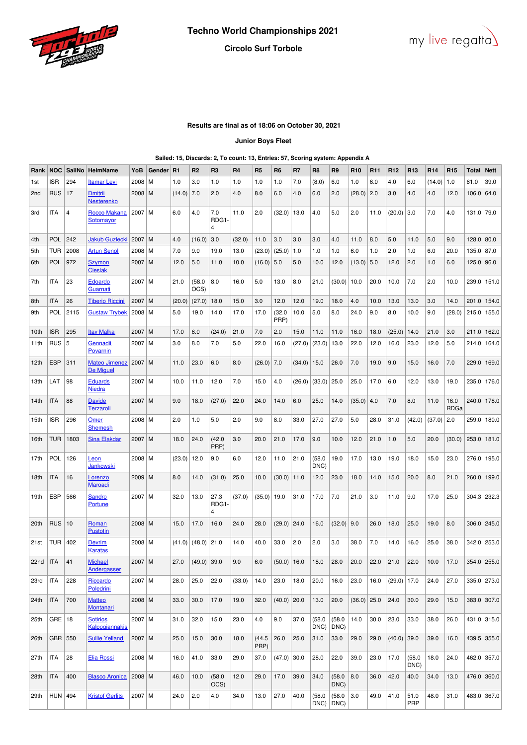



## **Results are final as of 18:06 on October 30, 2021**

### **Junior Boys Fleet**

## **Sailed: 15, Discards: 2, To count: 13, Entries: 57, Scoring system: Appendix A**

| Rank         | <b>NOC</b> | SailNo         | <b>HelmName</b>                     | YoB        | Gender | <b>R1</b> | R <sub>2</sub> | R <sub>3</sub>     | R4      | R <sub>5</sub> | R6             | R7     | R <sub>8</sub> | R <sub>9</sub>            | R <sub>10</sub> | R <sub>11</sub> | R <sub>12</sub> | R <sub>13</sub> | R <sub>14</sub> | R <sub>15</sub> | Total         | <b>Nett</b> |
|--------------|------------|----------------|-------------------------------------|------------|--------|-----------|----------------|--------------------|---------|----------------|----------------|--------|----------------|---------------------------|-----------------|-----------------|-----------------|-----------------|-----------------|-----------------|---------------|-------------|
| 1st          | ISR        | 294            | <b>Itamar Levi</b>                  | 2008       | M      | 1.0       | 3.0            | 1.0                | 1.0     | 1.0            | 1.0            | 7.0    | (8.0)          | 6.0                       | 1.0             | 6.0             | 4.0             | 6.0             | (14.0)          | 1.0             | 61.0          | 39.0        |
| 2nd          | <b>RUS</b> | 17             | <b>Dmitrii</b><br><b>Nesterenko</b> | 2008   M   |        | (14.0)    | 7.0            | 2.0                | 4.0     | 8.0            | 6.0            | 4.0    | 6.0            | 2.0                       | (28.0)          | 2.0             | 3.0             | 4.0             | 4.0             | 12.0            | 106.0 64.0    |             |
| 3rd          | ITA        | $\overline{4}$ | Rocco Makana<br>Sotomayor           | 2007       | M      | 6.0       | 4.0            | 7.0<br>RDG1-<br>4  | 11.0    | 2.0            | (32.0)         | 13.0   | 4.0            | 5.0                       | 2.0             | 11.0            | (20.0)          | 3.0             | 7.0             | 4.0             | 131.0 79.0    |             |
| 4th          | <b>POL</b> | 242            | <b>Jakub Guzlecki</b>               | 2007       | M      | 4.0       | (16.0)         | 3.0                | (32.0)  | 11.0           | 3.0            | 3.0    | 3.0            | 4.0                       | 11.0            | 8.0             | 5.0             | 11.0            | 5.0             | 9.0             | $128.0$ 80.0  |             |
| 5th          | TUR        | 2008           | <b>Artun Senol</b>                  | 2008       | M      | 7.0       | 9.0            | 19.0               | 13.0    | (23.0)         | (25.0)         | 1.0    | 1.0            | 1.0                       | 6.0             | 1.0             | 2.0             | 1.0             | 6.0             | 20.0            | 135.0 87.0    |             |
| 6th          | POL        | 972            | <b>Szymon</b><br><b>Cieslak</b>     | $2007$ M   |        | 12.0      | 5.0            | 11.0               | 10.0    | (16.0)         | 5.0            | 5.0    | 10.0           | 12.0                      | (13.0)          | 5.0             | 12.0            | 2.0             | 1.0             | 6.0             | 125.0 96.0    |             |
| 7th          | ITA        | 23             | <b>Edoardo</b><br>Guarnati          | 2007       | M      | 21.0      | (58.0)<br>OCS) | 8.0                | 16.0    | 5.0            | 13.0           | 8.0    | 21.0           | (30.0)                    | 10.0            | 20.0            | 10.0            | 7.0             | 2.0             | 10.0            | 239.0         | 151.0       |
| 8th          | ITA        | 26             | <b>Tiberio Riccini</b>              | $2007$ M   |        | (20.0)    | (27.0)         | 18.0               | 15.0    | 3.0            | 12.0           | 12.0   | 19.0           | 18.0                      | 4.0             | 10.0            | 13.0            | 13.0            | 3.0             | 14.0            | 201.0         | 154.0       |
| 9th          | POL        | 2115           | <b>Gustaw Trybek</b>                | $2008$   M |        | 5.0       | 19.0           | 14.0               | 17.0    | 17.0           | (32.0)<br>PRP) | 10.0   | 5.0            | 8.0                       | 24.0            | 9.0             | 8.0             | 10.0            | 9.0             | (28.0)          | 215.0   155.0 |             |
| 10th         | ISR        | 295            | <b>Itay Malka</b>                   | 2007       | l M    | 17.0      | 6.0            | (24.0)             | 21.0    | 7.0            | 2.0            | 15.0   | 11.0           | 11.0                      | 16.0            | 18.0            | (25.0)          | 14.0            | 21.0            | 3.0             | 211.0         | 162.0       |
| 11th         | <b>RUS</b> | 5              | Gennadii<br>Povarnin                | 2007       | l M    | 3.0       | 8.0            | 7.0                | 5.0     | 22.0           | 16.0           | (27.0) | (23.0)         | 13.0                      | 22.0            | 12.0            | 16.0            | 23.0            | 12.0            | 5.0             | 214.0         | 164.0       |
| 12th         | <b>ESP</b> | 311            | <b>Mateo Jimenez</b><br>De Miguel   | $2007$ M   |        | 11.0      | 23.0           | 6.0                | 8.0     | (26.0)         | 7.0            | (34.0) | 15.0           | 26.0                      | 7.0             | 19.0            | 9.0             | 15.0            | 16.0            | 7.0             | 229.0         | 169.0       |
| 13th         | LAT        | 98             | <b>Eduards</b><br><b>Niedra</b>     | 2007       | l M    | 10.0      | 11.0           | 12.0               | 7.0     | 15.0           | 4.0            | (26.0) | (33.0)         | 25.0                      | 25.0            | 17.0            | 6.0             | 12.0            | 13.0            | 19.0            | 235.0         | 176.0       |
| 14th         | ITA        | 88             | <b>Davide</b><br>Terzaroli          | 2007 M     |        | 9.0       | 18.0           | (27.0)             | 22.0    | 24.0           | 14.0           | 6.0    | 25.0           | 14.0                      | (35.0)          | 4.0             | 7.0             | 8.0             | 11.0            | 16.0<br>RDGa    | 240.0         | 178.0       |
| 15th         | ISR        | 296            | Omer<br><b>Shemesh</b>              | $2008$   M |        | 2.0       | 1.0            | 5.0                | 2.0     | 9.0            | 8.0            | 33.0   | 27.0           | 27.0                      | 5.0             | 28.0            | 31.0            | (42.0)          | (37.0)          | 2.0             | 259.0         | 180.0       |
| 16th         | TUR        | 1803           | <b>Sina Elakdar</b>                 | $2007$ M   |        | 18.0      | 24.0           | (42.0)<br>PRP)     | 3.0     | 20.0           | 21.0           | 17.0   | 9.0            | 10.0                      | 12.0            | 21.0            | 1.0             | 5.0             | 20.0            | (30.0)          | 253.0         | 181.0       |
| 17th         | <b>POL</b> | 126            | Leon<br>Jankowski                   | $2008$   M |        | (23.0)    | 12.0           | 9.0                | 6.0     | 12.0           | 11.0           | 21.0   | (58.0)<br>DNC) | 19.0                      | 17.0            | 13.0            | 19.0            | 18.0            | 15.0            | 23.0            | 276.0         | 195.0       |
| 18th         | ITA        | 16             | <b>Lorenzo</b><br><b>Maroadi</b>    | 2009       | M      | 8.0       | 14.0           | (31.0)             | 25.0    | 10.0           | (30.0)         | 11.0   | 12.0           | 23.0                      | 18.0            | 14.0            | 15.0            | 20.0            | 8.0             | 21.0            | 260.0         | 199.0       |
| 19th         | ESP        | 566            | Sandro<br>Portune                   | $2007$ M   |        | 32.0      | 13.0           | 27.3<br>RDG1-<br>4 | (37.0)  | (35.0)         | 19.0           | 31.0   | 17.0           | 7.0                       | 21.0            | 3.0             | 11.0            | 9.0             | 17.0            | 25.0            | 304.3 232.3   |             |
| 20th         | <b>RUS</b> | 10             | Roman<br><b>Pustotin</b>            | $2008$ M   |        | 15.0      | 17.0           | 16.0               | 24.0    | 28.0           | (29.0)         | 24.0   | 16.0           | (32.0)                    | 9.0             | 26.0            | 18.0            | 25.0            | 19.0            | 8.0             |               | 306.0 245.0 |
| 21st         | TUR        | 402            | Devrim<br>Karatas                   | $2008$ M   |        | (41.0)    | (48.0)         | 21.0               | 14.0    | 40.0           | 33.0           | 2.0    | 2.0            | 3.0                       | 38.0            | 7.0             | 14.0            | 16.0            | 25.0            | 38.0            |               | 342.0 253.0 |
| $22nd$   ITA |            | 41             | Michael<br>Andergasser              | $2007$ M   |        | 27.0      | $(49.0)$ 39.0  |                    | $9.0\,$ | $6.0\,$        | $(50.0)$ 16.0  |        | 18.0           | 28.0                      | 20.0            | 22.0            | 21.0            | 22.0            | 10.0            | 17.0            | $354.0$ 255.0 |             |
| 23rd         | ITA        | 228            | Riccardo<br>Poledrini               | $2007$ M   |        | 28.0      | 25.0           | 22.0               | (33.0)  | 14.0           | 23.0           | 18.0   | 20.0           | 16.0                      | 23.0            | 16.0            | $(29.0)$ 17.0   |                 | 24.0            | 27.0            |               | 335.0 273.0 |
| 24th         | ITA        | 700            | <b>Matteo</b><br>Montanari          | 2008   M   |        | 33.0      | 30.0           | 17.0               | 19.0    | 32.0           | $(40.0)$ 20.0  |        | 13.0           | 20.0                      | $(36.0)$ 25.0   |                 | 24.0            | 30.0            | 29.0            | 15.0            |               | 383.0 307.0 |
| 25th         | $GRE$   18 |                | <b>Sotirios</b><br>Kalpogiannakis   | 2007   M   |        | 31.0      | 32.0           | 15.0               | 23.0    | 4.0            | 9.0            | 37.0   | (58.0)<br>DNC) | (58.0)<br>DNC)            | 14.0            | 30.0            | 23.0            | 33.0            | 38.0            | 26.0            |               | 431.0 315.0 |
| 26th         | GBR 550    |                | <b>Sullie Yelland</b>               | $2007$ M   |        | 25.0      | 15.0           | 30.0               | 18.0    | (44.5)<br>PRP) | 26.0           | 25.0   | 31.0           | 33.0                      | 29.0            | 29.0            | $(40.0)$ 39.0   |                 | 39.0            | 16.0            |               | 439.5 355.0 |
| 27th         | ITA        | 28             | <b>Elia Rossi</b>                   | $2008$ M   |        | 16.0      | 41.0           | 33.0               | 29.0    | 37.0           | (47.0)         | 30.0   | 28.0           | 22.0                      | 39.0            | 23.0            | 17.0            | (58.0)<br>DNC)  | 18.0            | 24.0            |               | 462.0 357.0 |
| 28th         | ITA        | 400            | <b>Blasco Aronica</b>               | $2008$ M   |        | 46.0      | 10.0           | (58.0)<br>OCS)     | 12.0    | 29.0           | 17.0           | 39.0   | 34.0           | (58.0)<br>DNC)            | 8.0             | 36.0            | 42.0            | 40.0            | 34.0            | 13.0            |               | 476.0 360.0 |
| 29th         | $HUN$ 494  |                | <b>Kristof Gerlits</b>              | 2007   M   |        | 24.0      | 2.0            | 4.0                | 34.0    | 13.0           | 27.0           | 40.0   | (58.0)         | (58.0)<br>$DNC$ ) $DNC$ ) | 3.0             | 49.0            | 41.0            | 51.0<br>PRP     | 48.0            | 31.0            |               | 483.0 367.0 |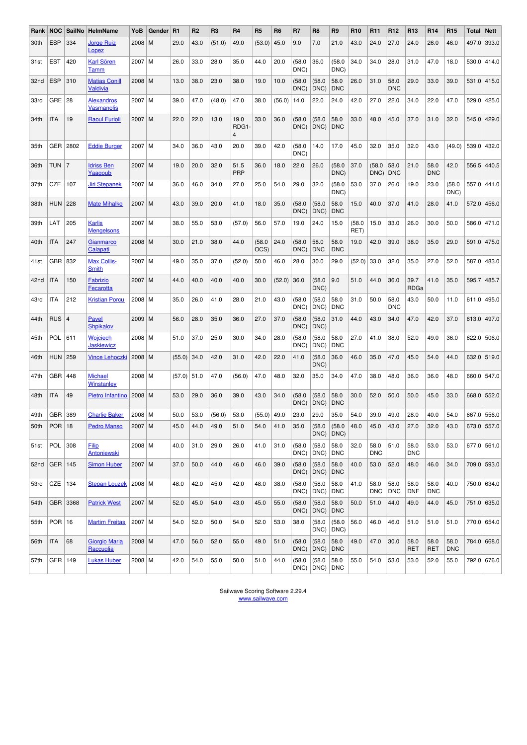| Rank | <b>NOC</b>     | SailNo         | <b>HelmName</b>                         | YoB           | Gender R1 |        | R <sub>2</sub> | R <sub>3</sub> | R <sub>4</sub>                 | R <sub>5</sub> | R <sub>6</sub> | R7             | R <sub>8</sub>                    | R <sub>9</sub>          | R <sub>10</sub> | <b>R11</b>         | R <sub>12</sub>    | R <sub>13</sub>    | R <sub>14</sub>    | R <sub>15</sub>    | Total | <b>Nett</b> |
|------|----------------|----------------|-----------------------------------------|---------------|-----------|--------|----------------|----------------|--------------------------------|----------------|----------------|----------------|-----------------------------------|-------------------------|-----------------|--------------------|--------------------|--------------------|--------------------|--------------------|-------|-------------|
| 30th | <b>ESP</b>     | 334            | <b>Jorge Ruiz</b><br>Lopez              | 2008          | M         | 29.0   | 43.0           | (51.0)         | 49.0                           | (53.0)         | 45.0           | 9.0            | 7.0                               | 21.0                    | 43.0            | 24.0               | 27.0               | 24.0               | 26.0               | 46.0               | 497.0 | 393.0       |
| 31st | <b>EST</b>     | 420            | <b>Karl Sören</b><br>Tamm               | 2007          | M         | 26.0   | 33.0           | 28.0           | 35.0                           | 44.0           | 20.0           | (58.0)<br>DNC) | 36.0                              | (58.0)<br>DNC)          | 34.0            | 34.0               | 28.0               | 31.0               | 47.0               | 18.0               |       | 530.0 414.0 |
| 32nd | <b>ESP</b>     | 310            | <b>Matias Conill</b><br><b>Valdivia</b> | 2008 M        |           | 13.0   | 38.0           | 23.0           | 38.0                           | 19.0           | 10.0           | (58.0)<br>DNC) | (58.0)<br>DNC)                    | 58.0<br><b>DNC</b>      | 26.0            | 31.0               | 58.0<br><b>DNC</b> | 29.0               | 33.0               | 39.0               | 531.0 | 415.0       |
| 33rd | GRE 28         |                | <b>Alexandros</b><br>Vasmanolis         | 2007          | l M       | 39.0   | 47.0           | (48.0)         | 47.0                           | 38.0           | (56.0)         | 14.0           | 22.0                              | 24.0                    | 42.0            | 27.0               | 22.0               | 34.0               | 22.0               | 47.0               | 529.0 | 425.0       |
| 34th | ITA            | 19             | <b>Raoul Furioli</b>                    | 2007          | M         | 22.0   | 22.0           | 13.0           | 19.0<br>RDG1<br>$\overline{4}$ | 33.0           | 36.0           | (58.0)<br>DNC) | (58.0)<br>DNC)                    | 58.0<br><b>DNC</b>      | 33.0            | 48.0               | 45.0               | 37.0               | 31.0               | 32.0               |       | 545.0 429.0 |
| 35th | GER            | 2802           | <b>Eddie Burger</b>                     | 2007          | M         | 34.0   | 36.0           | 43.0           | 20.0                           | 39.0           | 42.0           | (58.0)<br>DNC) | 14.0                              | 17.0                    | 45.0            | 32.0               | 35.0               | 32.0               | 43.0               | (49.0)             | 539.0 | 432.0       |
| 36th | TUN            | $\overline{7}$ | <b>Idriss Ben</b><br><u>Yaaqoub</u>     | 2007          | l M       | 19.0   | 20.0           | 32.0           | 51.5<br>PRP                    | 36.0           | 18.0           | 22.0           | 26.0                              | (58.0)<br>DNC)          | 37.0            | (58.0)<br>DNC)     | 58.0<br><b>DNC</b> | 21.0               | 58.0<br><b>DNC</b> | 42.0               | 556.5 | 440.5       |
| 37th | CZE            | 107            | Jiri Stepanek                           | 2007          | M         | 36.0   | 46.0           | 34.0           | 27.0                           | 25.0           | 54.0           | 29.0           | 32.0                              | (58.0)<br>DNC)          | 53.0            | 37.0               | 26.0               | 19.0               | 23.0               | (58.0<br>DNC)      |       | 557.0 441.0 |
| 38th | <b>HUN</b>     | 228            | <b>Mate Mihalko</b>                     | 2007          | l M       | 43.0   | 39.0           | 20.0           | 41.0                           | 18.0           | 35.0           | (58.0)<br>DNC) | (58.0)<br>DNC)                    | 58.0<br><b>DNC</b>      | 15.0            | 40.0               | 37.0               | 41.0               | 28.0               | 41.0               |       | 572.0 456.0 |
| 39th | LAT            | 205            | <b>Karlis</b><br><b>Mengelsons</b>      | 2007          | l M       | 38.0   | 55.0           | 53.0           | (57.0)                         | 56.0           | 57.0           | 19.0           | 24.0                              | 15.0                    | (58.0)<br>RET)  | 15.0               | 33.0               | 26.0               | 30.0               | 50.0               | 586.0 | 471.0       |
| 40th | ITA            | 247            | <b>Gianmarco</b><br>Calapati            | 2008          | l M       | 30.0   | 21.0           | 38.0           | 44.0                           | (58.0)<br>OCS) | 24.0           | (58.0)<br>DNC) | 58.0<br><b>DNC</b>                | 58.0<br><b>DNC</b>      | 19.0            | 42.0               | 39.0               | 38.0               | 35.0               | 29.0               | 591.0 | 475.0       |
| 41st | GBR            | 832            | <b>Max Collis-</b><br><b>Smith</b>      | 2007          | M         | 49.0   | 35.0           | 37.0           | (52.0)                         | 50.0           | 46.0           | 28.0           | 30.0                              | 29.0                    | (52.0)          | 33.0               | 32.0               | 35.0               | 27.0               | 52.0               | 587.0 | 483.0       |
| 42nd | ITA            | 150            | Fabrizio<br>Fecarotta                   | 2007          | l M       | 44.0   | 40.0           | 40.0           | 40.0                           | 30.0           | (52.0)         | 36.0           | (58.0)<br>DNC)                    | 9.0                     | 51.0            | 44.0               | 36.0               | 39.7<br>RDGa       | 41.0               | 35.0               | 595.7 | 485.7       |
| 43rd | ITA            | 212            | <b>Kristian Porcu</b>                   | $2008$ M      |           | 35.0   | 26.0           | 41.0           | 28.0                           | 21.0           | 43.0           | (58.0)<br>DNC) | (58.0)<br>DNC)                    | 58.0<br><b>DNC</b>      | 31.0            | 50.0               | 58.0<br><b>DNC</b> | 43.0               | 50.0               | 11.0               |       | 611.0 495.0 |
| 44th | <b>RUS</b>     | 4              | Pavel<br><b>Shpikalov</b>               | 2009          | M         | 56.0   | 28.0           | 35.0           | 36.0                           | 27.0           | 37.0           | (58.0)<br>DNC) | (58.0)<br>DNC)                    | 31.0                    | 44.0            | 43.0               | 34.0               | 47.0               | 42.0               | 37.0               | 613.0 | 497.0       |
| 45th | <b>POL</b>     | 611            | <b>Wojciech</b><br><b>Jaskiewicz</b>    | $2008$   M    |           | 51.0   | 37.0           | 25.0           | 30.0                           | 34.0           | 28.0           | (58.0)<br>DNC) | (58.0)<br>DNC)                    | 58.0<br><b>DNC</b>      | 27.0            | 41.0               | 38.0               | 52.0               | 49.0               | 36.0               | 622.0 | 506.0       |
| 46th | <b>HUN</b>     | 259            | <b>Vince Lehoczki</b>                   | $2008$   M    |           | (55.0) | 34.0           | 42.0           | 31.0                           | 42.0           | 22.0           | 41.0           | (58.0)<br>DNC)                    | 36.0                    | 46.0            | 35.0               | 47.0               | 45.0               | 54.0               | 44.0               |       | 632.0 519.0 |
| 47th | GBR            | 448            | <b>Michael</b><br>Winstanley            | $2008$   M    |           | (57.0) | 51.0           | 47.0           | (56.0)                         | 47.0           | 48.0           | 32.0           | 35.0                              | 34.0                    | 47.0            | 38.0               | 48.0               | 36.0               | 36.0               | 48.0               | 660.0 | 547.0       |
| 48th | <b>ITA</b>     | 49             | Pietro Infantino                        | 2008          | M         | 53.0   | 29.0           | 36.0           | 39.0                           | 43.0           | 34.0           | (58.0)<br>DNC) | (58.0)<br>DNC)                    | 58.0<br><b>DNC</b>      | 30.0            | 52.0               | 50.0               | 50.0               | 45.0               | 33.0               |       | 668.0 552.0 |
| 49th | GBR 389        |                | <b>Charlie Baker</b>                    | $2008$   M    |           | 50.0   | 53.0           | (56.0)         | 53.0                           | (55.0)         | 49.0           | 23.0           | 29.0                              | 35.0                    | 54.0            | 39.0               | 49.0               | 28.0               | 40.0               | 54.0               |       | 667.0 556.0 |
|      | 50th $ POR 18$ |                | <b>Pedro Manso</b>                      | $2007 \mid M$ |           | 45.0   | 44.0           | 49.0           | 51.0                           | 54.0           | 41.0           | 35.0           | (58.0)<br>DNC)                    | (58.0)<br>DNC)          | 48.0            | 45.0               | 43.0               | 27.0               | 32.0               | 43.0               |       | 673.0 557.0 |
| 51st | POL 308        |                | <b>Filip</b><br>Antoniewski             | $2008$ M      |           | 40.0   | 31.0           | 29.0           | 26.0                           | 41.0           | 31.0           | (58.0)<br>DNC) | (58.0)<br>DNC)                    | 58.0<br>DNC             | 32.0            | 58.0<br><b>DNC</b> | 51.0               | 58.0<br><b>DNC</b> | 53.0               | 53.0               |       | 677.0 561.0 |
| 52nd | $ GER $ 145    |                | <b>Simon Huber</b>                      | $2007$ M      |           | 37.0   | 50.0           | 44.0           | 46.0                           | 46.0           | 39.0           | (58.0)<br>DNC) | (58.0)<br>DNC)                    | 58.0<br>DNC             | 40.0            | 53.0               | 52.0               | 48.0               | 46.0               | 34.0               |       | 709.0 593.0 |
| 53rd | $CZE$   134    |                | Stepan Louzek                           | $2008$ M      |           | 48.0   | 42.0           | 45.0           | 42.0                           | 48.0           | 38.0           | (58.0)<br>DNC) | (58.0)<br>$DNC$ ) $DNC$           | 58.0                    | 41.0            | 58.0<br><b>DNC</b> | 58.0<br><b>DNC</b> | 58.0<br><b>DNF</b> | 58.0<br><b>DNC</b> | 40.0               |       | 750.0 634.0 |
| 54th | GBR 3368       |                | <b>Patrick West</b>                     | 2007   M      |           | 52.0   | 45.0           | 54.0           | 43.0                           | 45.0           | 55.0           | (58.0)<br>DNC) | (58.0)<br>DNC)                    | 58.0<br>DNC             | 50.0            | 51.0               | 44.0               | 49.0               | 44.0               | 45.0               |       | 751.0 635.0 |
| 55th | $POR$ 16       |                | <b>Martim Freitas</b>                   | 2007 M        |           | 54.0   | 52.0           | 50.0           | 54.0                           | 52.0           | 53.0           | 38.0           | (58.0)<br>DNC)                    | (58.0)<br>$ DNC\rangle$ | 56.0            | 46.0               | 46.0               | 51.0               | 51.0               | 51.0               |       | 770.0 654.0 |
| 56th | <b>ITA</b>     | 68             | <b>Giorgio Maria</b><br>Raccuglia       | $2008$ M      |           | 47.0   | 56.0           | 52.0           | 55.0                           | 49.0           | 51.0           | (58.0)<br>DNC) | (58.0)<br>DNC)                    | 58.0<br><b>DNC</b>      | 49.0            | 47.0               | 30.0               | 58.0<br>RET        | 58.0<br>RET        | 58.0<br><b>DNC</b> |       | 784.0 668.0 |
| 57th | $GER$   149    |                | <b>Lukas Huber</b>                      | $2008$ M      |           | 42.0   | 54.0           | 55.0           | 50.0                           | 51.0           | 44.0           | (58.0)         | (58.0)<br>$DNC$ ) $ DNC$ ) $ DNC$ | 58.0                    | 55.0            | 54.0               | 53.0               | 53.0               | 52.0               | 55.0               |       | 792.0 676.0 |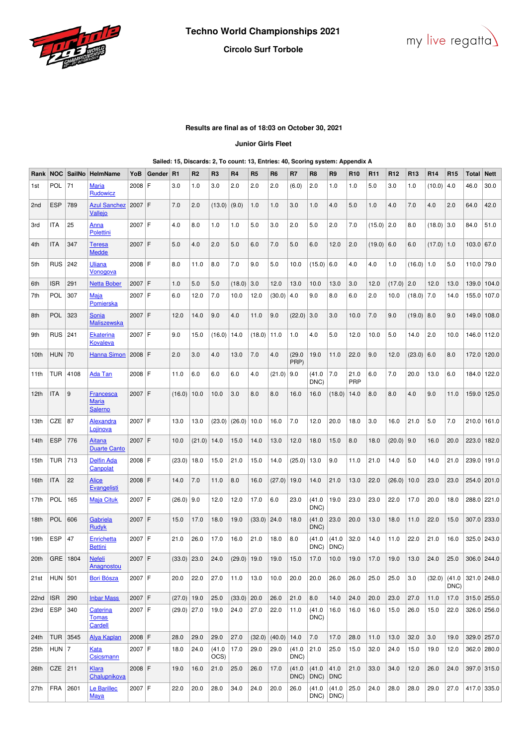



# **Results are final as of 18:03 on October 30, 2021**

## **Junior Girls Fleet**

### **Sailed: 15, Discards: 2, To count: 13, Entries: 40, Scoring system: Appendix A**

| Rank             | <b>NOC</b> | SailNo | <b>HelmName</b>                                    | YoB      | Gender | R1            | R <sub>2</sub> | R <sub>3</sub> | R <sub>4</sub> | R <sub>5</sub> | R <sub>6</sub> | R7             | R <sub>8</sub> | R9                 | R <sub>10</sub> | R11          | R <sub>12</sub> | R <sub>13</sub> | R <sub>14</sub> | R <sub>15</sub> | <b>Total</b>  | <b>Nett</b>   |
|------------------|------------|--------|----------------------------------------------------|----------|--------|---------------|----------------|----------------|----------------|----------------|----------------|----------------|----------------|--------------------|-----------------|--------------|-----------------|-----------------|-----------------|-----------------|---------------|---------------|
| 1st              | <b>POL</b> | 71     | Maria<br>Rudowicz                                  | $2008$ F |        | 3.0           | 1.0            | 3.0            | 2.0            | 2.0            | 2.0            | (6.0)          | 2.0            | 1.0                | 1.0             | 5.0          | 3.0             | 1.0             | (10.0)          | 4.0             | 46.0          | 30.0          |
| 2 <sub>nd</sub>  | <b>ESP</b> | 789    | <b>Azul Sanchez</b><br><b>Vallejo</b>              | 2007     | F      | 7.0           | 2.0            | (13.0)         | (9.0)          | 1.0            | 1.0            | 3.0            | 1.0            | 4.0                | 5.0             | 1.0          | 4.0             | 7.0             | 4.0             | 2.0             | 64.0          | 42.0          |
| 3rd              | <b>ITA</b> | 25     | Anna<br><b>Polettini</b>                           | 2007 F   |        | 4.0           | 8.0            | 1.0            | 1.0            | 5.0            | 3.0            | 2.0            | 5.0            | 2.0                | 7.0             | $(15.0)$ 2.0 |                 | 8.0             | (18.0)          | 3.0             | 84.0          | 51.0          |
| 4th              | <b>ITA</b> | 347    | <b>Teresa</b><br><b>Medde</b>                      | $2007$ F |        | 5.0           | 4.0            | 2.0            | 5.0            | 6.0            | 7.0            | 5.0            | 6.0            | 12.0               | 2.0             | $(19.0)$ 6.0 |                 | 6.0             | $(17.0)$ 1.0    |                 | $103.0$ 67.0  |               |
| 5th              | <b>RUS</b> | 242    | Uliana<br>Vonogova                                 | 2008 F   |        | 8.0           | 11.0           | 8.0            | 7.0            | 9.0            | 5.0            | 10.0           | (15.0)         | 6.0                | 4.0             | 4.0          | 1.0             | (16.0)          | 1.0             | 5.0             | 110.0 79.0    |               |
| 6th              | <b>ISR</b> | 291    | <b>Netta Bober</b>                                 | $2007$ F |        | 1.0           | 5.0            | 5.0            | (18.0)         | 3.0            | 12.0           | 13.0           | 10.0           | 13.0               | 3.0             | 12.0         | (17.0)          | 2.0             | 12.0            | 13.0            |               | 139.0 104.0   |
| 7th              | <b>POL</b> | 307    | Maja<br>Pomierska                                  | 2007     | ١F     | 6.0           | 12.0           | 7.0            | 10.0           | 12.0           | $(30.0)$ 4.0   |                | 9.0            | 8.0                | 6.0             | 2.0          | 10.0            | (18.0)          | 7.0             | 14.0            |               | 155.0 107.0   |
| 8th              | <b>POL</b> | 323    | Sonia<br><b>Maliszewska</b>                        | $2007$ F |        | 12.0          | 14.0           | 9.0            | 4.0            | 11.0           | 9.0            | (22.0)         | 3.0            | 3.0                | 10.0            | 7.0          | 9.0             | (19.0)          | 8.0             | 9.0             |               | 149.0 108.0   |
| 9th              | <b>RUS</b> | 241    | <b>Ekaterina</b><br><b>Kovaleva</b>                | 2007 F   |        | 9.0           | 15.0           | (16.0)         | 14.0           | (18.0)         | 11.0           | 1.0            | 4.0            | 5.0                | 12.0            | 10.0         | 5.0             | 14.0            | 2.0             | 10.0            |               | 146.0 112.0   |
| 10th             | <b>HUN</b> | 70     | <b>Hanna Simon</b>                                 | $2008$ F |        | 2.0           | 3.0            | 4.0            | 13.0           | 7.0            | 4.0            | (29.0)<br>PRP) | 19.0           | 11.0               | 22.0            | 9.0          | 12.0            | (23.0)          | 6.0             | 8.0             | 172.0         | 120.0         |
| 11th             | <b>TUR</b> | 4108   | <b>Ada Tan</b>                                     | 2008 F   |        | 11.0          | 6.0            | 6.0            | 6.0            | 4.0            | (21.0)         | 9.0            | (41.0)<br>DNC) | 7.0                | 21.0<br>PRP     | 6.0          | 7.0             | 20.0            | 13.0            | 6.0             | 184.0         | 122.0         |
| 12 <sub>th</sub> | <b>ITA</b> | 9      | <b>Francesca</b><br><b>Maria</b><br><b>Salerno</b> | 2007 F   |        | (16.0)        | 10.0           | 10.0           | 3.0            | 8.0            | 8.0            | 16.0           | 16.0           | (18.0)             | 14.0            | 8.0          | 8.0             | 4.0             | 9.0             | 11.0            | 159.0         | 125.0         |
| 13th             | CZE        | 87     | Alexandra<br><u>Lojinova</u>                       | 2007 F   |        | 13.0          | 13.0           | (23.0)         | (26.0)         | 10.0           | 16.0           | 7.0            | 12.0           | 20.0               | 18.0            | 3.0          | 16.0            | 21.0            | 5.0             | 7.0             |               | $210.0$ 161.0 |
| 14th             | <b>ESP</b> | 776    | Aitana<br><b>Duarte Canto</b>                      | $2007$ F |        | 10.0          | (21.0)         | 14.0           | 15.0           | 14.0           | 13.0           | 12.0           | 18.0           | 15.0               | 8.0             | 18.0         | $(20.0)$ 9.0    |                 | 16.0            | 20.0            | 223.0         | 182.0         |
| 15th             | TUR        | 713    | <b>Delfin Ada</b><br>Canpolat                      | 2008 F   |        | (23.0)        | 18.0           | 15.0           | 21.0           | 15.0           | 14.0           | (25.0)         | 13.0           | 9.0                | 11.0            | 21.0         | 14.0            | 5.0             | 14.0            | 21.0            | 239.0         | 191.0         |
| 16th             | <b>ITA</b> | 22     | <b>Alice</b><br>Evangelisti                        | 2008 F   |        | 14.0          | 7.0            | 11.0           | 8.0            | 16.0           | (27.0)         | 19.0           | 14.0           | 21.0               | 13.0            | 22.0         | (26.0)          | 10.0            | 23.0            | 23.0            | 254.0 201.0   |               |
| 17th             | <b>POL</b> | 165    | <b>Maja Cituk</b>                                  | 2007 F   |        | (26.0)        | 9.0            | 12.0           | 12.0           | 17.0           | 6.0            | 23.0           | (41.0)<br>DNC) | 19.0               | 23.0            | 23.0         | 22.0            | 17.0            | 20.0            | 18.0            |               | 288.0 221.0   |
| 18th             | <b>POL</b> | 606    | Gabriela<br>Rudyk                                  | 2007 F   |        | 15.0          | 17.0           | 18.0           | 19.0           | (33.0)         | 24.0           | 18.0           | (41.0)<br>DNC) | 23.0               | 20.0            | 13.0         | 18.0            | 11.0            | 22.0            | 15.0            | 307.0         | 233.0         |
| 19th             | <b>ESP</b> | 47     | Enrichetta<br><b>Bettini</b>                       | 2007     | F      | 21.0          | 26.0           | 17.0           | 16.0           | 21.0           | 18.0           | 8.0            | (41.0)<br>DNC) | (41.0<br>DNC)      | 32.0            | 14.0         | 11.0            | 22.0            | 21.0            | 16.0            |               | 325.0 243.0   |
| 20th             | <b>GRE</b> | 1804   | <b>Nefeli</b><br><b>Anagnostou</b>                 | 2007 F   |        | $(33.0)$ 23.0 |                | 24.0           | $(29.0)$ 19.0  |                | 19.0           | 15.0           | 17.0           | 10.0               | 19.0            | 17.0         | 19.0            | 13.0            | 24.0            | 25.0            |               | 306.0 244.0   |
| 21st             | $HUN$ 501  |        | <b>Bori Bósza</b>                                  | $2007$ F |        | 20.0          | 22.0           | 27.0           | 11.0           | 13.0           | 10.0           | 20.0           | 20.0           | 26.0               | 26.0            | 25.0         | 25.0            | 3.0             | (32.0)          | (41.0)<br>DNC)  | $321.0$ 248.0 |               |
| 22 <sub>nd</sub> | <b>ISR</b> | 290    | <b>Inbar Mass</b>                                  | $2007$ F |        | $(27.0)$ 19.0 |                | 25.0           | $(33.0)$ 20.0  |                | 26.0           | 21.0           | 8.0            | 14.0               | 24.0            | 20.0         | 23.0            | 27.0            | 11.0            | 17.0            | $315.0$ 255.0 |               |
| 23rd             | <b>ESP</b> | 340    | Caterina<br><b>Tomas</b><br>Cardell                | 2007 F   |        | $(29.0)$ 27.0 |                | 19.0           | 24.0           | 27.0           | 22.0           | 11.0           | (41.0)<br>DNC) | 16.0               | 16.0            | 16.0         | 15.0            | 26.0            | 15.0            | 22.0            |               | 326.0 256.0   |
| 24th             | TUR 3545   |        | <b>Alya Kaplan</b>                                 | $2008$ F |        | 28.0          | 29.0           | 29.0           | 27.0           | (32.0)         | (40.0)         | 14.0           | 7.0            | 17.0               | 28.0            | 11.0         | 13.0            | 32.0            | 3.0             | 19.0            |               | 329.0 257.0   |
| 25th             | $HUN$ 7    |        | Kata<br>Csicsmann                                  | 2007 F   |        | 18.0          | 24.0           | (41.0)<br>OCS) | 17.0           | 29.0           | 29.0           | (41.0<br>DNC)  | 21.0           | 25.0               | 15.0            | 32.0         | 24.0            | 15.0            | 19.0            | 12.0            |               | 362.0 280.0   |
| 26th             | $CZE$ 211  |        | Klara<br>Chalupnikova                              | $2008$ F |        | 19.0          | 16.0           | 21.0           | 25.0           | 26.0           | 17.0           | (41.0)<br>DNC) | (41.0)<br>DNC) | 41.0<br><b>DNC</b> | 21.0            | 33.0         | 34.0            | 12.0            | 26.0            | 24.0            |               | 397.0 315.0   |
| 27th             | <b>FRA</b> | 2601   | Le Barillec<br><b>Maya</b>                         | 2007 F   |        | 22.0          | 20.0           | 28.0           | 34.0           | 24.0           | 20.0           | 26.0           | (41.0)<br>DNC) | (41.0)<br>DNC)     | 25.0            | 24.0         | 28.0            | 28.0            | 29.0            | 27.0            |               | 417.0 335.0   |
|                  |            |        |                                                    |          |        |               |                |                |                |                |                |                |                |                    |                 |              |                 |                 |                 |                 |               |               |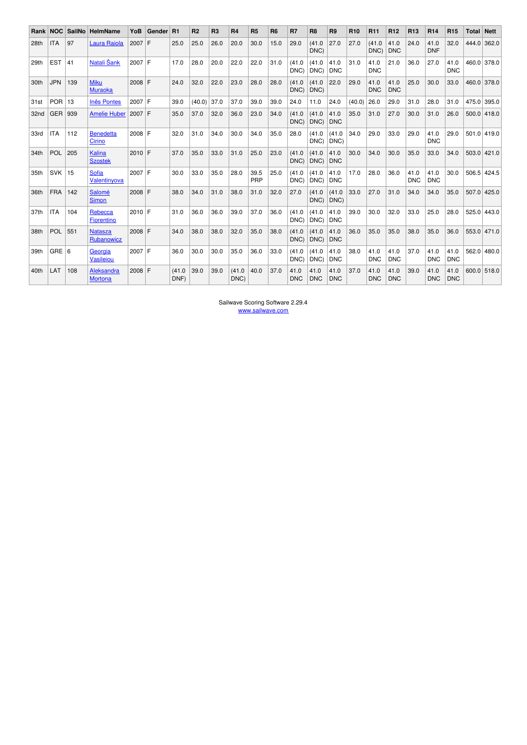| Rank             | <b>NOC</b> | <b>SailNo</b> | <b>HelmName</b>               | YoB      | Gender | R <sub>1</sub> | R <sub>2</sub> | R <sub>3</sub> | R4            | R <sub>5</sub> | R <sub>6</sub> | R <sub>7</sub>     | R <sub>8</sub>     | R <sub>9</sub>     | R <sub>10</sub> | R <sub>11</sub>    | R <sub>12</sub>    | R <sub>13</sub>    | <b>R14</b>         | <b>R15</b>         | Total         | $\vert$ Nett  |
|------------------|------------|---------------|-------------------------------|----------|--------|----------------|----------------|----------------|---------------|----------------|----------------|--------------------|--------------------|--------------------|-----------------|--------------------|--------------------|--------------------|--------------------|--------------------|---------------|---------------|
| 28th             | <b>ITA</b> | 97            | Laura Raiola                  | 2007     | F      | 25.0           | 25.0           | 26.0           | 20.0          | 30.0           | 15.0           | 29.0               | (41.0)<br>DNC)     | 27.0               | 27.0            | (41.0<br>DNC)      | 41.0<br><b>DNC</b> | 24.0               | 41.0<br><b>DNF</b> | 32.0               |               | 444.0 362.0   |
| 29th             | <b>EST</b> | 41            | Natali Šank                   | 2007     | F      | 17.0           | 28.0           | 20.0           | 22.0          | 22.0           | 31.0           | (41.0)<br>DNC)     | (41.0)<br>DNC)     | 41.0<br><b>DNC</b> | 31.0            | 41.0<br><b>DNC</b> | 21.0               | 36.0               | 27.0               | 41.0<br><b>DNC</b> | 460.0         | 378.0         |
| 30th             | JPN.       | 139           | <b>Miku</b><br><b>Muraoka</b> | 2008     | F      | 24.0           | 32.0           | 22.0           | 23.0          | 28.0           | 28.0           | (41.0)<br>DNC)     | (41.0)<br>DNC)     | 22.0               | 29.0            | 41.0<br><b>DNC</b> | 41.0<br><b>DNC</b> | 25.0               | 30.0               | 33.0               |               | 460.0 378.0   |
| 31st             | POR        | 13            | <b>Inês Pontes</b>            | 2007 F   |        | 39.0           | (40.0)         | 37.0           | 37.0          | 39.0           | 39.0           | 24.0               | 11.0               | 24.0               | (40.0)          | 26.0               | 29.0               | 31.0               | 28.0               | 31.0               | 475.0 395.0   |               |
| 32 <sub>nd</sub> | GER        | 939           | <b>Amelie Huber</b>           | 2007 F   |        | 35.0           | 37.0           | 32.0           | 36.0          | 23.0           | 34.0           | (41.0)<br>DNC)     | (41.0)<br>DNC)     | 41.0<br><b>DNC</b> | 35.0            | 31.0               | 27.0               | 30.0               | 31.0               | 26.0               |               | $500.0$ 418.0 |
| 33rd             | <b>ITA</b> | 112           | <b>Benedetta</b><br>Cirino    | 2008     | F      | 32.0           | 31.0           | 34.0           | 30.0          | 34.0           | 35.0           | 28.0               | (41.0)<br>DNC)     | (41.0)<br>DNC)     | 34.0            | 29.0               | 33.0               | 29.0               | 41.0<br><b>DNC</b> | 29.0               | $501.0$ 419.0 |               |
| 34th             | POL        | 205           | Kalina<br><b>Szostek</b>      | 2010     | F      | 37.0           | 35.0           | 33.0           | 31.0          | 25.0           | 23.0           | (41.0<br>DNC)      | (41.0)<br>DNC)     | 41.0<br><b>DNC</b> | 30.0            | 34.0               | 30.0               | 35.0               | 33.0               | 34.0               | 503.0         | 421.0         |
| 35th             | <b>SVK</b> | 15            | Sofia<br>Valentinyova         | $2007$ F |        | 30.0           | 33.0           | 35.0           | 28.0          | 39.5<br>PRP    | 25.0           | (41.0)<br>DNC)     | (41.0)<br>DNC)     | 41.0<br><b>DNC</b> | 17.0            | 28.0               | 36.0               | 41.0<br><b>DNC</b> | 41.0<br><b>DNC</b> | 30.0               | 506.5         | 424.5         |
| 36th             | <b>FRA</b> | 142           | Salomé<br><b>Simon</b>        | 2008     | F      | 38.0           | 34.0           | 31.0           | 38.0          | 31.0           | 32.0           | 27.0               | (41.0)<br>DNC)     | (41.0)<br>DNC)     | 33.0            | 27.0               | 31.0               | 34.0               | 34.0               | 35.0               | 507.0         | 425.0         |
| 37 <sub>th</sub> | <b>ITA</b> | 104           | Rebecca<br>Fiorentino         | 2010     | F      | 31.0           | 36.0           | 36.0           | 39.0          | 37.0           | 36.0           | (41.0<br>DNC)      | (41.0)<br>DNC)     | 41.0<br><b>DNC</b> | 39.0            | 30.0               | 32.0               | 33.0               | 25.0               | 28.0               | 525.0         | 443.0         |
| 38th             | <b>POL</b> | 551           | <b>Natasza</b><br>Rubanowicz  | 2008 F   |        | 34.0           | 38.0           | 38.0           | 32.0          | 35.0           | 38.0           | (41.0)<br>DNC)     | (41.0)<br>DNC)     | 41.0<br><b>DNC</b> | 36.0            | 35.0               | 35.0               | 38.0               | 35.0               | 36.0               | 553.0         | 471.0         |
| 39th             | $GRE$ 6    |               | Georgia<br>Vasileiou          | $2007$ F |        | 36.0           | 30.0           | 30.0           | 35.0          | 36.0           | 33.0           | (41.0)<br>DNC)     | (41.0)<br>DNC)     | 41.0<br><b>DNC</b> | 38.0            | 41.0<br><b>DNC</b> | 41.0<br><b>DNC</b> | 37.0               | 41.0<br><b>DNC</b> | 41.0<br><b>DNC</b> | 562.0         | 480.0         |
| 40th             | LAT        | 108           | Aleksandra<br><b>Mortona</b>  | $2008$ F |        | (41.0<br>DNF)  | 39.0           | 39.0           | (41.0<br>DNC) | 40.0           | 37.0           | 41.0<br><b>DNC</b> | 41.0<br><b>DNC</b> | 41.0<br><b>DNC</b> | 37.0            | 41.0<br><b>DNC</b> | 41.0<br><b>DNC</b> | 39.0               | 41.0<br><b>DNC</b> | 41.0<br><b>DNC</b> | 600.0 518.0   |               |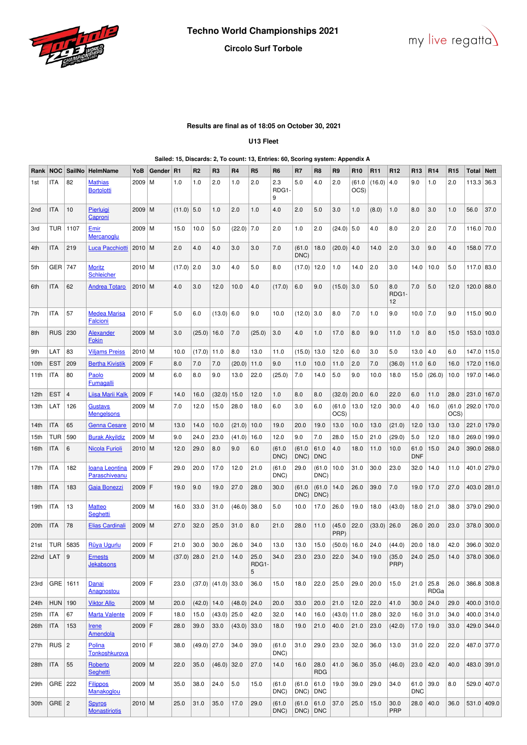



## **Results are final as of 18:05 on October 30, 2021**

## **U13 Fleet**

### **Sailed: 15, Discards: 2, To count: 13, Entries: 60, Scoring system: Appendix A**

| Rank | <b>NOC</b> | SailNo         | <b>HelmName</b>                        | YoB      | Gender | R1     | R <sub>2</sub> | R <sub>3</sub>         | R <sub>4</sub> | R <sub>5</sub>                  | R <sub>6</sub>    | R7             | R <sub>8</sub>     | R <sub>9</sub> | R <sub>10</sub> | R <sub>11</sub> | R <sub>12</sub>    | R <sub>13</sub>    | R <sub>14</sub> | R <sub>15</sub> | Total        | <b>Nett</b> |
|------|------------|----------------|----------------------------------------|----------|--------|--------|----------------|------------------------|----------------|---------------------------------|-------------------|----------------|--------------------|----------------|-----------------|-----------------|--------------------|--------------------|-----------------|-----------------|--------------|-------------|
| 1st  | ITA        | 82             | <b>Mathias</b><br><b>Bortolotti</b>    | 2009     | l M    | 1.0    | 1.0            | 2.0                    | 1.0            | 2.0                             | 2.3<br>RDG1-<br>9 | 5.0            | 4.0                | 2.0            | (61.0)<br>OCS)  | (16.0)          | 4.0                | 9.0                | 1.0             | 2.0             | 113.3        | 36.3        |
| 2nd  | ITA        | 10             | Pierluigi<br>Caproni                   | 2009     | l M    | (11.0) | 5.0            | 1.0                    | 2.0            | 1.0                             | 4.0               | 2.0            | 5.0                | 3.0            | 1.0             | (8.0)           | 1.0                | 8.0                | 3.0             | 1.0             | 56.0         | 37.0        |
| 3rd  | TUR        | 1107           | <u>Emir</u><br>Mercanoglu              | 2009     | l M    | 15.0   | 10.0           | 5.0                    | (22.0)         | 7.0                             | 2.0               | 1.0            | 2.0                | (24.0)         | 5.0             | 4.0             | 8.0                | 2.0                | 2.0             | 7.0             | $116.0$ 70.0 |             |
| 4th  | ITA        | 219            | Luca Pacchiotti                        | $2010$ M |        | 2.0    | 4.0            | 4.0                    | 3.0            | 3.0                             | 7.0               | (61.0<br>DNC)  | 18.0               | (20.0)         | 4.0             | 14.0            | 2.0                | 3.0                | 9.0             | 4.0             | 158.0 77.0   |             |
| 5th  | GER        | 747            | <b>Moritz</b><br>Schleicher            | 2010   M |        | (17.0) | 2.0            | 3.0                    | 4.0            | 5.0                             | 8.0               | (17.0)         | 12.0               | 1.0            | 14.0            | 2.0             | 3.0                | 14.0               | 10.0            | 5.0             | 117.0        | 83.0        |
| 6th  | ITA        | 62             | <b>Andrea Totaro</b>                   | 2010 M   |        | 4.0    | 3.0            | 12.0                   | 10.0           | 4.0                             | (17.0)            | 6.0            | 9.0                | (15.0)         | 3.0             | 5.0             | 8.0<br>RDG1-<br>12 | 7.0                | 5.0             | 12.0            | $120.0$ 88.0 |             |
| 7th  | ITA        | 57             | <b>Medea Marisa</b><br><b>Falcioni</b> | $2010$ F |        | 5.0    | 6.0            | (13.0)                 | 6.0            | 9.0                             | 10.0              | (12.0)         | 3.0                | 8.0            | 7.0             | 1.0             | 9.0                | 10.0               | 7.0             | 9.0             | $115.0$ 90.0 |             |
| 8th  | RUS        | 230            | Alexander<br>Fokin                     | 2009 M   |        | 3.0    | (25.0)         | 16.0                   | 7.0            | (25.0)                          | 3.0               | 4.0            | 1.0                | 17.0           | 8.0             | 9.0             | 11.0               | 1.0                | 8.0             | 15.0            | 153.0        | 103.0       |
| 9th  | LAT        | 83             | <b>Viljams Preiss</b>                  | 2010 M   |        | 10.0   | (17.0)         | 11.0                   | 8.0            | 13.0                            | 11.0              | (15.0)         | 13.0               | 12.0           | 6.0             | 3.0             | 5.0                | 13.0               | 4.0             | 6.0             |              | 147.0 115.0 |
| 10th | <b>EST</b> | 209            | <b>Bertha Kivistik</b>                 | 2009     | F      | 8.0    | 7.0            | 7.0                    | (20.0)         | 11.0                            | 9.0               | 11.0           | 10.0               | 11.0           | 2.0             | 7.0             | (36.0)             | 11.0               | 6.0             | 16.0            | 172.0        | 116.0       |
| 11th | ITA        | 80             | Paolo<br>Fumagalli                     | 2009     | M      | 6.0    | 8.0            | 9.0                    | 13.0           | 22.0                            | (25.0)            | 7.0            | 14.0               | 5.0            | 9.0             | 10.0            | 18.0               | 15.0               | (26.0)          | 10.0            | 197.0        | 146.0       |
| 12th | EST        | $\overline{4}$ | <b>Liisa Marii Kalk</b>                | $2009$ F |        | 14.0   | 16.0           | (32.0)                 | 15.0           | 12.0                            | 1.0               | 8.0            | 8.0                | (32.0)         | 20.0            | 6.0             | 22.0               | 6.0                | 11.0            | 28.0            | 231.0        | 167.0       |
| 13th | LAT        | 126            | Gustavs<br><b>Mengelsons</b>           | 2009 M   |        | 7.0    | 12.0           | 15.0                   | 28.0           | 18.0                            | 6.0               | 3.0            | 6.0                | (61.0)<br>OCS) | 13.0            | 12.0            | 30.0               | 4.0                | 16.0            | (61.0<br>OCS)   | 292.0        | 170.0       |
| 14th | ITA        | 65             | <b>Genna Cesare</b>                    | 2010     | l M    | 13.0   | 14.0           | 10.0                   | (21.0)         | 10.0                            | 19.0              | 20.0           | 19.0               | 13.0           | 10.0            | 13.0            | (21.0)             | 12.0               | 13.0            | 13.0            | 221.0        | 179.0       |
| 15th | TUR        | 590            | <b>Burak Akyildiz</b>                  | 2009     | l M    | 9.0    | 24.0           | 23.0                   | (41.0)         | 16.0                            | 12.0              | 9.0            | 7.0                | 28.0           | 15.0            | 21.0            | (29.0)             | 5.0                | 12.0            | 18.0            | 269.0        | 199.0       |
| 16th | ITA        | 6              | <b>Nicola Furioli</b>                  | 2010     | l M    | 12.0   | 29.0           | 8.0                    | 9.0            | 6.0                             | (61.0<br>DNC)     | (61.0)<br>DNC) | 61.0<br><b>DNC</b> | 4.0            | 18.0            | 11.0            | 10.0               | 61.0<br><b>DNF</b> | 15.0            | 24.0            | 390.0        | 268.0       |
| 17th | ITA        | 182            | <b>Ioana Leontina</b><br>Paraschiveanu | $2009$ F |        | 29.0   | 20.0           | 17.0                   | 12.0           | 21.0                            | (61.0)<br>DNC)    | 29.0           | (61.0)<br>DNC)     | 10.0           | 31.0            | 30.0            | 23.0               | 32.0               | 14.0            | 11.0            |              | 401.0 279.0 |
| 18th | ITA        | 183            | Gaia Bonezzi                           | 2009     | F      | 19.0   | 9.0            | 19.0                   | 27.0           | 28.0                            | 30.0              | (61.0<br>DNC)  | (61.0)<br>DNC)     | 14.0           | 26.0            | 39.0            | 7.0                | 19.0               | 17.0            | 27.0            |              | 403.0 281.0 |
| 19th | ITA        | 13             | <b>Matteo</b><br><b>Seahetti</b>       | 2009 M   |        | 16.0   | 33.0           | 31.0                   | (46.0)         | 38.0                            | 5.0               | 10.0           | 17.0               | 26.0           | 19.0            | 18.0            | (43.0)             | 18.0               | 21.0            | 38.0            | 379.0        | 290.0       |
| 20th | ITA        | 78             | Elias Cardinali                        | 2009     | l M    | 27.0   | 32.0           | 25.0                   | 31.0           | 8.0                             | 21.0              | 28.0           | 11.0               | (45.0)<br>PRP) | 22.0            | (33.0)          | 26.0               | 26.0               | 20.0            | 23.0            |              | 378.0 300.0 |
| 21st | TUR        | 5835           | Rüya Ugurlu                            | 2009     | ١F     | 21.0   | 30.0           | 30.0                   | 26.0           | 34.0                            | 13.0              | 13.0           | 15.0               | (50.0)         | 16.0            | 24.0            | (44.0)             | 20.0               | 18.0            | 42.0            | 396.0        | 302.0       |
| 22nd | LAT        | 9              | <b>Ernests</b><br>Jekabsons            | 2009 M   |        | (37.0) | 28.0           | 21.0                   | 14.0           | 25.0<br>RDG <sub>1</sub> -<br>5 | 34.0              | 23.0           | 23.0               | 22.0           | 34.0            | 19.0            | (35.0)<br>PRP)     | 24.0               | 25.0            | 14.0            | 378.0        | 306.0       |
| 23rd | GRE   1611 |                | Danai<br>Anagnostou                    | 2009 F   |        | 23.0   |                | $(37.0)$ $(41.0)$ 33.0 |                | 36.0                            | 15.0              | 18.0           | 22.0               | 25.0           | 29.0            | 20.0            | 15.0               | 21.0               | 25.8<br>RDGa    | 26.0            |              | 386.8 308.8 |
| 24th | <b>HUN</b> | 190            | <b>Viktor Allo</b>                     | $2009$ M |        | 20.0   | $(42.0)$ 14.0  |                        | $(48.0)$ 24.0  |                                 | 20.0              | 33.0           | 20.0               | 21.0           | 12.0            | 22.0            | 41.0               | 30.0               | 24.0            | 29.0            |              | 400.0 310.0 |
| 25th | <b>ITA</b> | 67             | <b>Marta Valente</b>                   | 2009 F   |        | 18.0   | 15.0           | (43.0)                 | 25.0           | 42.0                            | 32.0              | 14.0           | 16.0               | (43.0)         | 11.0            | 28.0            | 32.0               | 16.0               | 31.0            | 34.0            |              | 400.0 314.0 |
| 26th | <b>ITA</b> | 153            | <b>Irene</b><br><b>Amendola</b>        | $2009$ F |        | 28.0   | 39.0           | 33.0                   | (43.0)         | 33.0                            | 18.0              | 19.0           | 21.0               | 40.0           | 21.0            | 23.0            | (42.0)             | 17.0               | 19.0            | 33.0            |              | 429.0 344.0 |
| 27th | $RUS$   2  |                | Polina<br>Tonkoshkurova                | $2010$ F |        | 38.0   | $(49.0)$ 27.0  |                        | 34.0           | 39.0                            | (61.0)<br>DNC)    | 31.0           | 29.0               | 23.0           | 32.0            | 36.0            | 13.0               | 31.0               | 22.0            | 22.0            |              | 487.0 377.0 |
| 28th | ITA        | 55             | Roberto<br>Seghetti                    | $2009$ M |        | 22.0   | 35.0           | (46.0)                 | 32.0           | 27.0                            | 14.0              | 16.0           | 28.0<br><b>RDG</b> | 41.0           | 36.0            | 35.0            | (46.0)             | 23.0               | 42.0            | 40.0            |              | 483.0 391.0 |
| 29th | GRE 222    |                | <b>Filippos</b><br>Manakoglou          | $2009$ M |        | 35.0   | 38.0           | 24.0                   | 5.0            | 15.0                            | (61.0)<br>DNC)    | (61.0)<br>DNC) | 61.0<br><b>DNC</b> | 19.0           | 39.0            | 29.0            | 34.0               | 61.0<br><b>DNC</b> | 39.0            | 8.0             |              | 529.0 407.0 |
| 30th | $GRE$   2  |                | <b>Spyros</b><br><b>Monastiriotis</b>  | $2010$ M |        | 25.0   | 31.0           | 35.0                   | 17.0           | 29.0                            | (61.0)<br>DNC)    | (61.0)<br>DNC) | 61.0<br>DNC        | 37.0           | 25.0            | 15.0            | 30.0<br><b>PRP</b> | 28.0               | 40.0            | 36.0            |              | 531.0 409.0 |